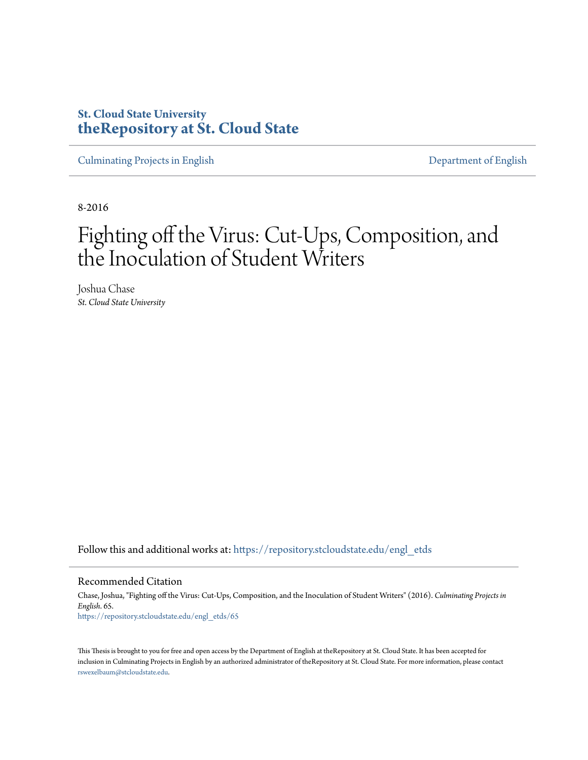## **St. Cloud State University [theRepository at St. Cloud State](https://repository.stcloudstate.edu?utm_source=repository.stcloudstate.edu%2Fengl_etds%2F65&utm_medium=PDF&utm_campaign=PDFCoverPages)**

[Culminating Projects in English](https://repository.stcloudstate.edu/engl_etds?utm_source=repository.stcloudstate.edu%2Fengl_etds%2F65&utm_medium=PDF&utm_campaign=PDFCoverPages) [Department of English](https://repository.stcloudstate.edu/engl?utm_source=repository.stcloudstate.edu%2Fengl_etds%2F65&utm_medium=PDF&utm_campaign=PDFCoverPages)

8-2016

# Fighting off the Virus: Cut-Ups, Composition, and the Inoculation of Student Writers

Joshua Chase *St. Cloud State University*

Follow this and additional works at: [https://repository.stcloudstate.edu/engl\\_etds](https://repository.stcloudstate.edu/engl_etds?utm_source=repository.stcloudstate.edu%2Fengl_etds%2F65&utm_medium=PDF&utm_campaign=PDFCoverPages)

#### Recommended Citation

Chase, Joshua, "Fighting off the Virus: Cut-Ups, Composition, and the Inoculation of Student Writers" (2016). *Culminating Projects in English*. 65. [https://repository.stcloudstate.edu/engl\\_etds/65](https://repository.stcloudstate.edu/engl_etds/65?utm_source=repository.stcloudstate.edu%2Fengl_etds%2F65&utm_medium=PDF&utm_campaign=PDFCoverPages)

This Thesis is brought to you for free and open access by the Department of English at theRepository at St. Cloud State. It has been accepted for inclusion in Culminating Projects in English by an authorized administrator of theRepository at St. Cloud State. For more information, please contact [rswexelbaum@stcloudstate.edu](mailto:rswexelbaum@stcloudstate.edu).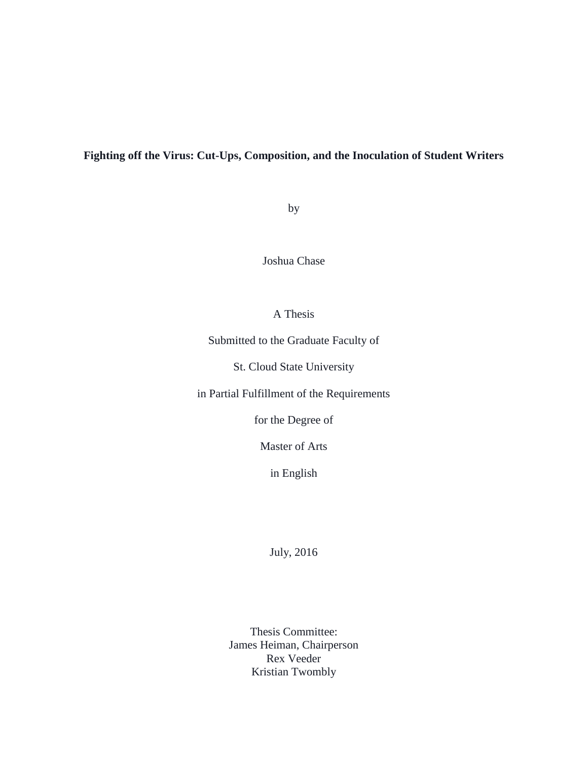### **Fighting off the Virus: Cut-Ups, Composition, and the Inoculation of Student Writers**

by

Joshua Chase

A Thesis

Submitted to the Graduate Faculty of

St. Cloud State University

in Partial Fulfillment of the Requirements

for the Degree of

Master of Arts

in English

July, 2016

Thesis Committee: James Heiman, Chairperson Rex Veeder Kristian Twombly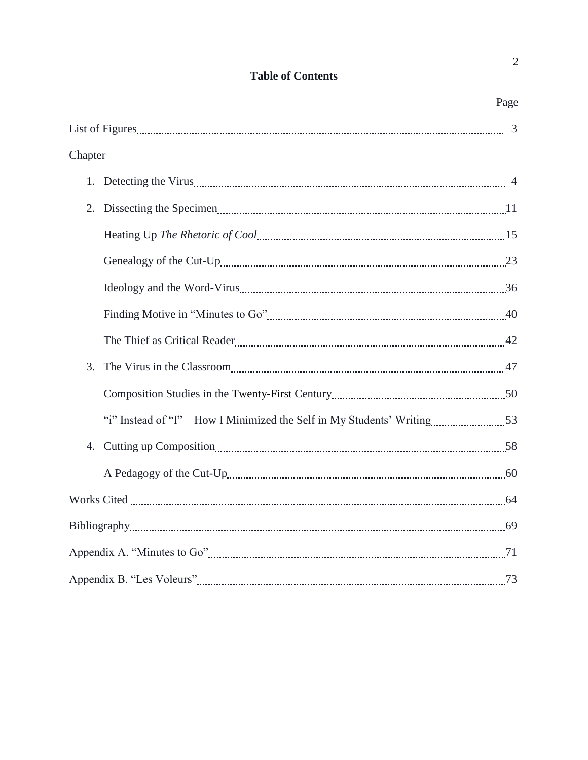## **Table of Contents**

|         | Page |
|---------|------|
|         |      |
| Chapter |      |
|         |      |
| 2.      |      |
|         |      |
|         |      |
|         |      |
|         |      |
|         |      |
| 3.      |      |
|         |      |
|         |      |
|         |      |
|         |      |
|         |      |
|         |      |
|         |      |
|         |      |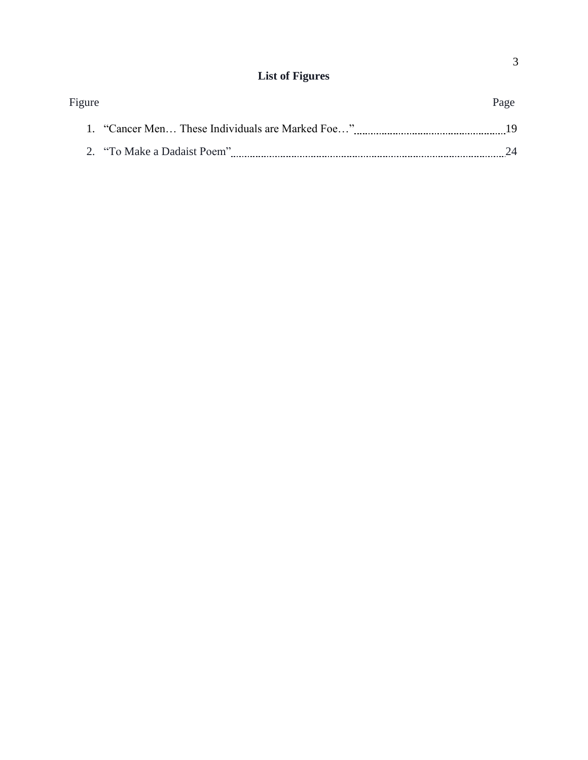## **List of Figures**

| Figure                                           | Page   |
|--------------------------------------------------|--------|
| 1. "Cancer Men These Individuals are Marked Foe" |        |
| 2. "To Make a Dadaist Poem"                      | $2\pi$ |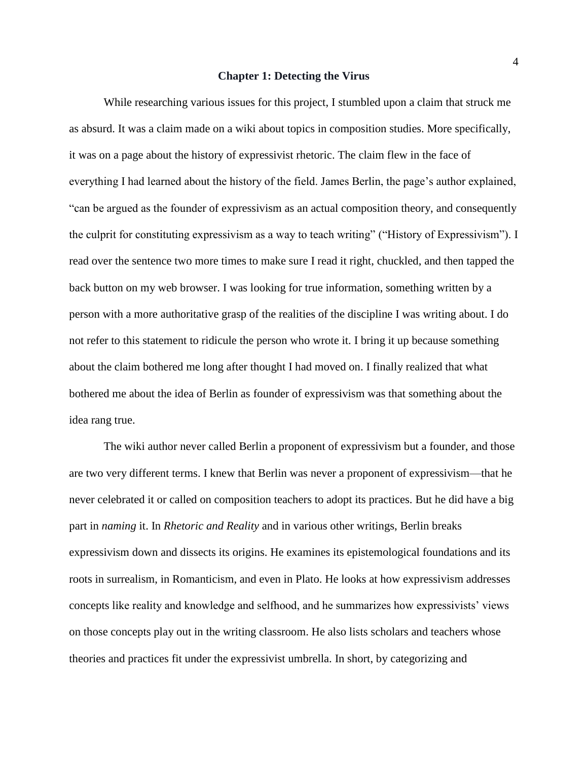#### **Chapter 1: Detecting the Virus**

While researching various issues for this project, I stumbled upon a claim that struck me as absurd. It was a claim made on a wiki about topics in composition studies. More specifically, it was on a page about the history of expressivist rhetoric. The claim flew in the face of everything I had learned about the history of the field. James Berlin, the page's author explained, "can be argued as the founder of expressivism as an actual composition theory, and consequently the culprit for constituting expressivism as a way to teach writing" ("History of Expressivism"). I read over the sentence two more times to make sure I read it right, chuckled, and then tapped the back button on my web browser. I was looking for true information, something written by a person with a more authoritative grasp of the realities of the discipline I was writing about. I do not refer to this statement to ridicule the person who wrote it. I bring it up because something about the claim bothered me long after thought I had moved on. I finally realized that what bothered me about the idea of Berlin as founder of expressivism was that something about the idea rang true.

The wiki author never called Berlin a proponent of expressivism but a founder, and those are two very different terms. I knew that Berlin was never a proponent of expressivism—that he never celebrated it or called on composition teachers to adopt its practices. But he did have a big part in *naming* it. In *Rhetoric and Reality* and in various other writings, Berlin breaks expressivism down and dissects its origins. He examines its epistemological foundations and its roots in surrealism, in Romanticism, and even in Plato. He looks at how expressivism addresses concepts like reality and knowledge and selfhood, and he summarizes how expressivists' views on those concepts play out in the writing classroom. He also lists scholars and teachers whose theories and practices fit under the expressivist umbrella. In short, by categorizing and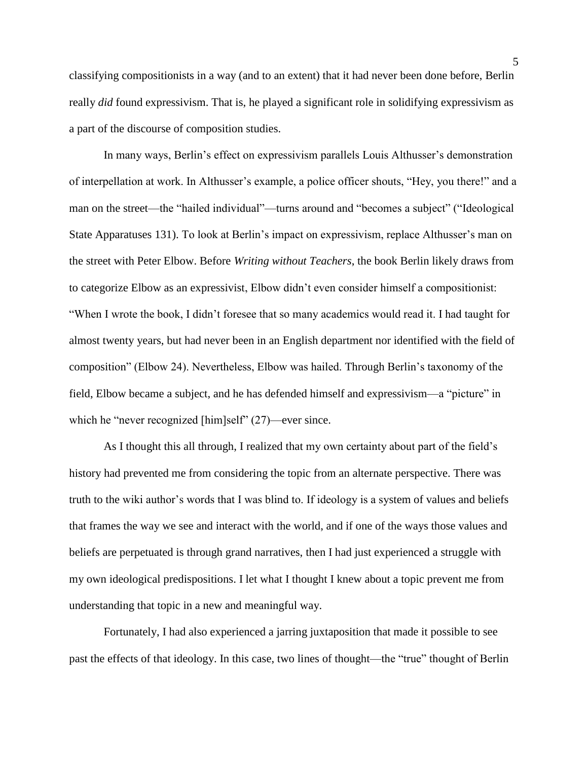classifying compositionists in a way (and to an extent) that it had never been done before, Berlin really *did* found expressivism. That is, he played a significant role in solidifying expressivism as a part of the discourse of composition studies.

In many ways, Berlin's effect on expressivism parallels Louis Althusser's demonstration of interpellation at work. In Althusser's example, a police officer shouts, "Hey, you there!" and a man on the street—the "hailed individual"—turns around and "becomes a subject" ("Ideological State Apparatuses 131). To look at Berlin's impact on expressivism, replace Althusser's man on the street with Peter Elbow. Before *Writing without Teachers*, the book Berlin likely draws from to categorize Elbow as an expressivist, Elbow didn't even consider himself a compositionist: "When I wrote the book, I didn't foresee that so many academics would read it. I had taught for almost twenty years, but had never been in an English department nor identified with the field of composition" (Elbow 24). Nevertheless, Elbow was hailed. Through Berlin's taxonomy of the field, Elbow became a subject, and he has defended himself and expressivism—a "picture" in which he "never recognized [him]self" (27)—ever since.

As I thought this all through, I realized that my own certainty about part of the field's history had prevented me from considering the topic from an alternate perspective. There was truth to the wiki author's words that I was blind to. If ideology is a system of values and beliefs that frames the way we see and interact with the world, and if one of the ways those values and beliefs are perpetuated is through grand narratives, then I had just experienced a struggle with my own ideological predispositions. I let what I thought I knew about a topic prevent me from understanding that topic in a new and meaningful way.

Fortunately, I had also experienced a jarring juxtaposition that made it possible to see past the effects of that ideology. In this case, two lines of thought—the "true" thought of Berlin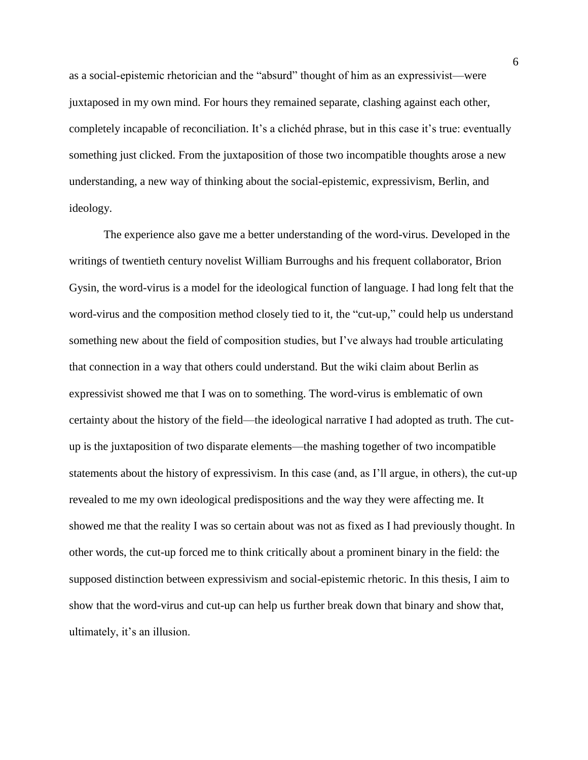as a social-epistemic rhetorician and the "absurd" thought of him as an expressivist—were juxtaposed in my own mind. For hours they remained separate, clashing against each other, completely incapable of reconciliation. It's a clichéd phrase, but in this case it's true: eventually something just clicked. From the juxtaposition of those two incompatible thoughts arose a new understanding, a new way of thinking about the social-epistemic, expressivism, Berlin, and ideology.

The experience also gave me a better understanding of the word-virus. Developed in the writings of twentieth century novelist William Burroughs and his frequent collaborator, Brion Gysin, the word-virus is a model for the ideological function of language. I had long felt that the word-virus and the composition method closely tied to it, the "cut-up," could help us understand something new about the field of composition studies, but I've always had trouble articulating that connection in a way that others could understand. But the wiki claim about Berlin as expressivist showed me that I was on to something. The word-virus is emblematic of own certainty about the history of the field—the ideological narrative I had adopted as truth. The cutup is the juxtaposition of two disparate elements—the mashing together of two incompatible statements about the history of expressivism. In this case (and, as I'll argue, in others), the cut-up revealed to me my own ideological predispositions and the way they were affecting me. It showed me that the reality I was so certain about was not as fixed as I had previously thought. In other words, the cut-up forced me to think critically about a prominent binary in the field: the supposed distinction between expressivism and social-epistemic rhetoric. In this thesis, I aim to show that the word-virus and cut-up can help us further break down that binary and show that, ultimately, it's an illusion.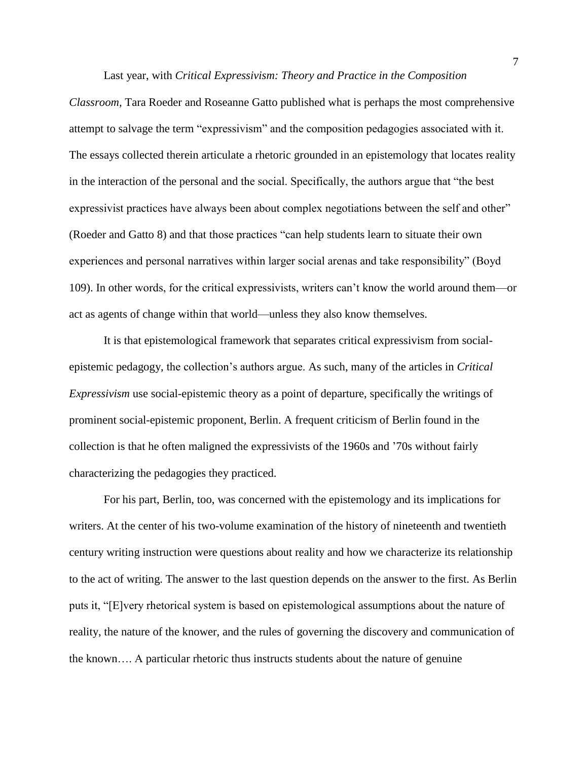#### Last year, with *Critical Expressivism: Theory and Practice in the Composition*

*Classroom,* Tara Roeder and Roseanne Gatto published what is perhaps the most comprehensive attempt to salvage the term "expressivism" and the composition pedagogies associated with it. The essays collected therein articulate a rhetoric grounded in an epistemology that locates reality in the interaction of the personal and the social. Specifically, the authors argue that "the best expressivist practices have always been about complex negotiations between the self and other" (Roeder and Gatto 8) and that those practices "can help students learn to situate their own experiences and personal narratives within larger social arenas and take responsibility" (Boyd 109). In other words, for the critical expressivists, writers can't know the world around them—or act as agents of change within that world—unless they also know themselves.

It is that epistemological framework that separates critical expressivism from socialepistemic pedagogy, the collection's authors argue. As such, many of the articles in *Critical Expressivism* use social-epistemic theory as a point of departure, specifically the writings of prominent social-epistemic proponent, Berlin. A frequent criticism of Berlin found in the collection is that he often maligned the expressivists of the 1960s and '70s without fairly characterizing the pedagogies they practiced.

For his part, Berlin, too, was concerned with the epistemology and its implications for writers. At the center of his two-volume examination of the history of nineteenth and twentieth century writing instruction were questions about reality and how we characterize its relationship to the act of writing. The answer to the last question depends on the answer to the first. As Berlin puts it, "[E]very rhetorical system is based on epistemological assumptions about the nature of reality, the nature of the knower, and the rules of governing the discovery and communication of the known…. A particular rhetoric thus instructs students about the nature of genuine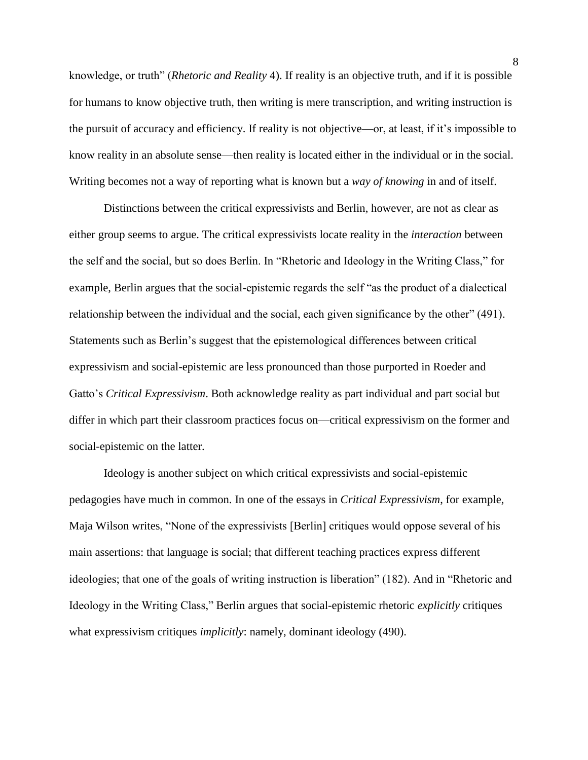knowledge, or truth" (*Rhetoric and Reality* 4). If reality is an objective truth, and if it is possible for humans to know objective truth, then writing is mere transcription, and writing instruction is the pursuit of accuracy and efficiency. If reality is not objective—or, at least, if it's impossible to know reality in an absolute sense—then reality is located either in the individual or in the social. Writing becomes not a way of reporting what is known but a *way of knowing* in and of itself.

Distinctions between the critical expressivists and Berlin, however, are not as clear as either group seems to argue. The critical expressivists locate reality in the *interaction* between the self and the social, but so does Berlin. In "Rhetoric and Ideology in the Writing Class," for example, Berlin argues that the social-epistemic regards the self "as the product of a dialectical relationship between the individual and the social, each given significance by the other" (491). Statements such as Berlin's suggest that the epistemological differences between critical expressivism and social-epistemic are less pronounced than those purported in Roeder and Gatto's *Critical Expressivism*. Both acknowledge reality as part individual and part social but differ in which part their classroom practices focus on—critical expressivism on the former and social-epistemic on the latter.

Ideology is another subject on which critical expressivists and social-epistemic pedagogies have much in common. In one of the essays in *Critical Expressivism*, for example, Maja Wilson writes, "None of the expressivists [Berlin] critiques would oppose several of his main assertions: that language is social; that different teaching practices express different ideologies; that one of the goals of writing instruction is liberation" (182). And in "Rhetoric and Ideology in the Writing Class," Berlin argues that social-epistemic rhetoric *explicitly* critiques what expressivism critiques *implicitly*: namely, dominant ideology (490).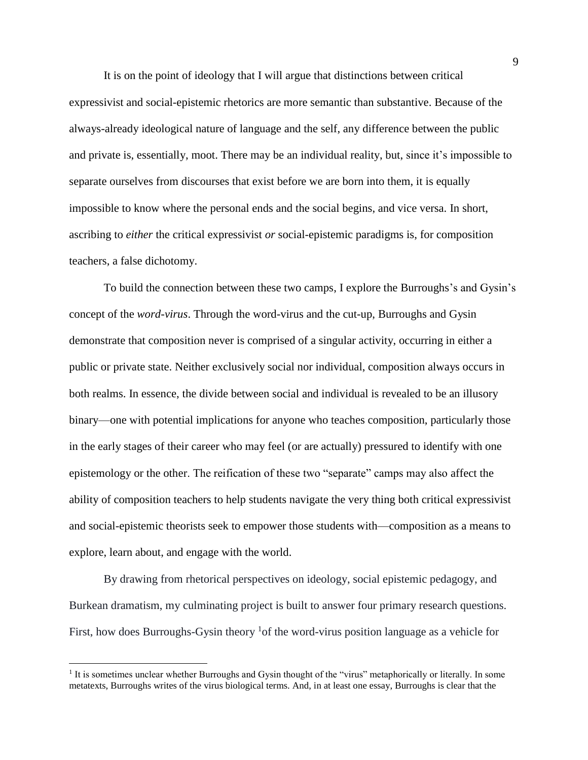It is on the point of ideology that I will argue that distinctions between critical expressivist and social-epistemic rhetorics are more semantic than substantive. Because of the always-already ideological nature of language and the self, any difference between the public and private is, essentially, moot. There may be an individual reality, but, since it's impossible to separate ourselves from discourses that exist before we are born into them, it is equally impossible to know where the personal ends and the social begins, and vice versa. In short, ascribing to *either* the critical expressivist *or* social-epistemic paradigms is, for composition teachers, a false dichotomy.

To build the connection between these two camps, I explore the Burroughs's and Gysin's concept of the *word-virus*. Through the word-virus and the cut-up, Burroughs and Gysin demonstrate that composition never is comprised of a singular activity, occurring in either a public or private state. Neither exclusively social nor individual, composition always occurs in both realms. In essence, the divide between social and individual is revealed to be an illusory binary—one with potential implications for anyone who teaches composition, particularly those in the early stages of their career who may feel (or are actually) pressured to identify with one epistemology or the other. The reification of these two "separate" camps may also affect the ability of composition teachers to help students navigate the very thing both critical expressivist and social-epistemic theorists seek to empower those students with—composition as a means to explore, learn about, and engage with the world.

By drawing from rhetorical perspectives on ideology, social epistemic pedagogy, and Burkean dramatism, my culminating project is built to answer four primary research questions. First, how does Burroughs-Gysin theory  $1$  of the word-virus position language as a vehicle for

 $\overline{a}$ 

<sup>&</sup>lt;sup>1</sup> It is sometimes unclear whether Burroughs and Gysin thought of the "virus" metaphorically or literally. In some metatexts, Burroughs writes of the virus biological terms. And, in at least one essay, Burroughs is clear that the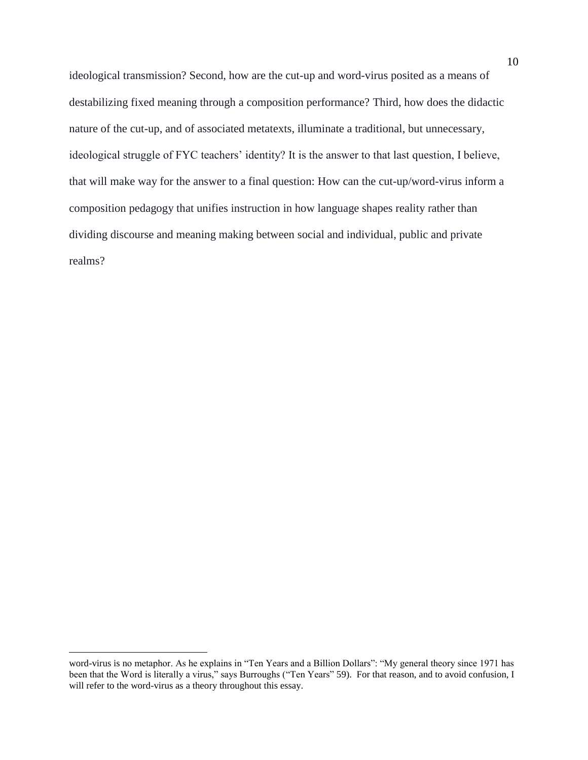ideological transmission? Second, how are the cut-up and word-virus posited as a means of destabilizing fixed meaning through a composition performance? Third, how does the didactic nature of the cut-up, and of associated metatexts, illuminate a traditional, but unnecessary, ideological struggle of FYC teachers' identity? It is the answer to that last question, I believe, that will make way for the answer to a final question: How can the cut-up/word-virus inform a composition pedagogy that unifies instruction in how language shapes reality rather than dividing discourse and meaning making between social and individual, public and private realms?

 $\overline{a}$ 

word-virus is no metaphor. As he explains in "Ten Years and a Billion Dollars": "My general theory since 1971 has been that the Word is literally a virus," says Burroughs ("Ten Years" 59). For that reason, and to avoid confusion, I will refer to the word-virus as a theory throughout this essay.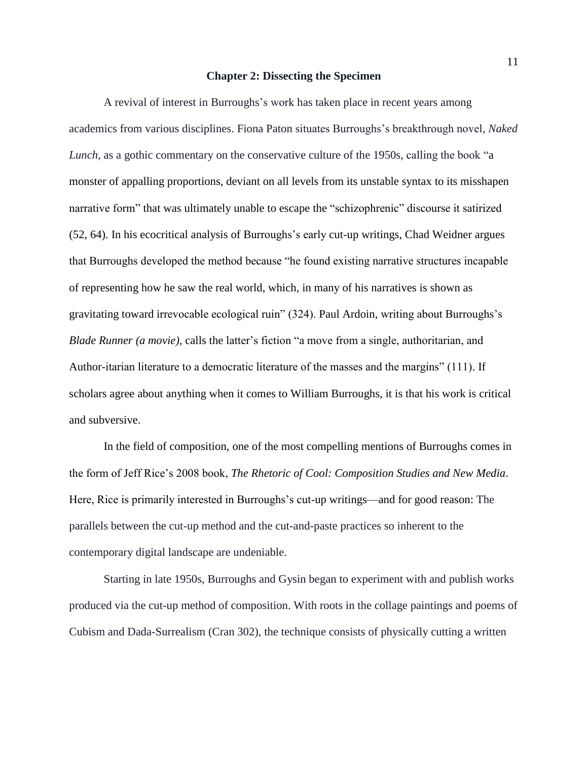#### **Chapter 2: Dissecting the Specimen**

A revival of interest in Burroughs's work has taken place in recent years among academics from various disciplines. Fiona Paton situates Burroughs's breakthrough novel, *Naked Lunch,* as a gothic commentary on the conservative culture of the 1950s, calling the book "a monster of appalling proportions, deviant on all levels from its unstable syntax to its misshapen narrative form" that was ultimately unable to escape the "schizophrenic" discourse it satirized (52, 64). In his ecocritical analysis of Burroughs's early cut-up writings, Chad Weidner argues that Burroughs developed the method because "he found existing narrative structures incapable of representing how he saw the real world, which, in many of his narratives is shown as gravitating toward irrevocable ecological ruin" (324). Paul Ardoin, writing about Burroughs's *Blade Runner (a movie)*, calls the latter's fiction "a move from a single, authoritarian, and Author-itarian literature to a democratic literature of the masses and the margins" (111). If scholars agree about anything when it comes to William Burroughs, it is that his work is critical and subversive.

In the field of composition, one of the most compelling mentions of Burroughs comes in the form of Jeff Rice's 2008 book, *The Rhetoric of Cool: Composition Studies and New Media*. Here, Rice is primarily interested in Burroughs's cut-up writings—and for good reason: The parallels between the cut-up method and the cut-and-paste practices so inherent to the contemporary digital landscape are undeniable.

Starting in late 1950s, Burroughs and Gysin began to experiment with and publish works produced via the cut-up method of composition. With roots in the collage paintings and poems of Cubism and Dada-Surrealism (Cran 302), the technique consists of physically cutting a written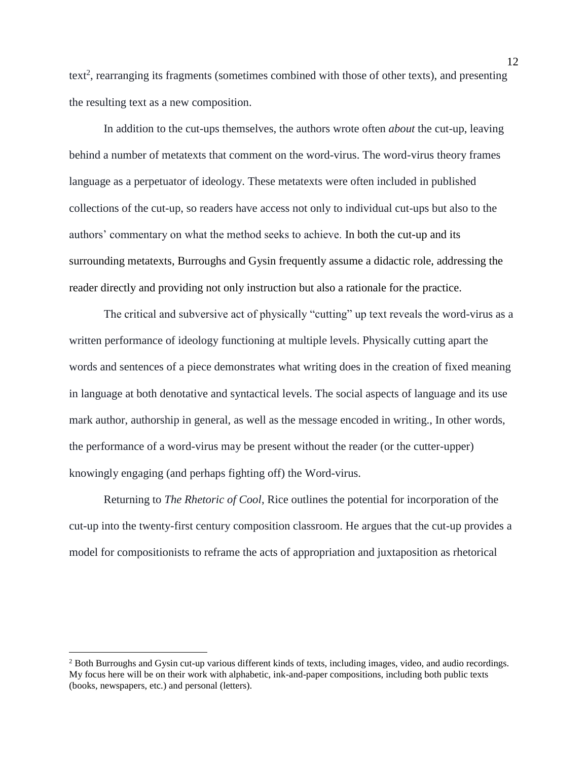text<sup>2</sup>, rearranging its fragments (sometimes combined with those of other texts), and presenting the resulting text as a new composition.

In addition to the cut-ups themselves, the authors wrote often *about* the cut-up, leaving behind a number of metatexts that comment on the word-virus. The word-virus theory frames language as a perpetuator of ideology. These metatexts were often included in published collections of the cut-up, so readers have access not only to individual cut-ups but also to the authors' commentary on what the method seeks to achieve. In both the cut-up and its surrounding metatexts, Burroughs and Gysin frequently assume a didactic role, addressing the reader directly and providing not only instruction but also a rationale for the practice.

The critical and subversive act of physically "cutting" up text reveals the word-virus as a written performance of ideology functioning at multiple levels. Physically cutting apart the words and sentences of a piece demonstrates what writing does in the creation of fixed meaning in language at both denotative and syntactical levels. The social aspects of language and its use mark author, authorship in general, as well as the message encoded in writing., In other words, the performance of a word-virus may be present without the reader (or the cutter-upper) knowingly engaging (and perhaps fighting off) the Word-virus.

Returning to *The Rhetoric of Cool*, Rice outlines the potential for incorporation of the cut-up into the twenty-first century composition classroom. He argues that the cut-up provides a model for compositionists to reframe the acts of appropriation and juxtaposition as rhetorical

 $\overline{a}$ 

<sup>2</sup> Both Burroughs and Gysin cut-up various different kinds of texts, including images, video, and audio recordings. My focus here will be on their work with alphabetic, ink-and-paper compositions, including both public texts (books, newspapers, etc.) and personal (letters).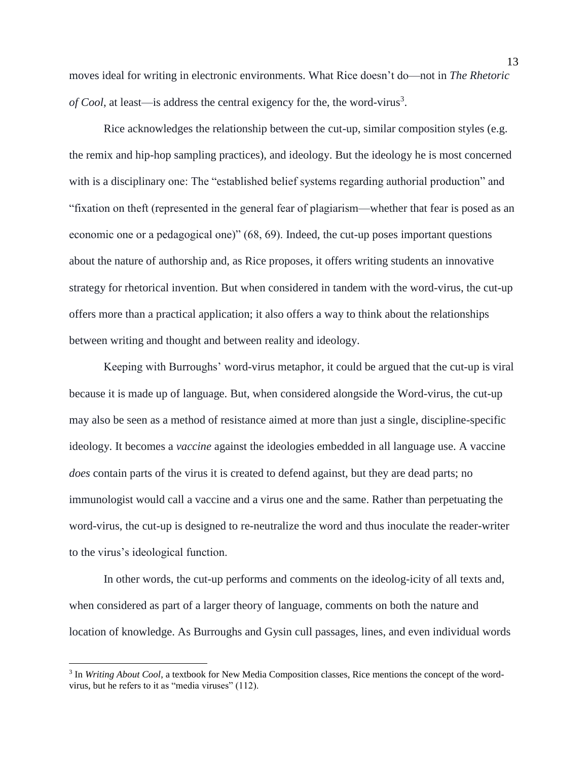moves ideal for writing in electronic environments. What Rice doesn't do—not in *The Rhetoric*  of Cool, at least—is address the central exigency for the, the word-virus<sup>3</sup>.

Rice acknowledges the relationship between the cut-up, similar composition styles (e.g. the remix and hip-hop sampling practices), and ideology. But the ideology he is most concerned with is a disciplinary one: The "established belief systems regarding authorial production" and "fixation on theft (represented in the general fear of plagiarism—whether that fear is posed as an economic one or a pedagogical one)" (68, 69). Indeed, the cut-up poses important questions about the nature of authorship and, as Rice proposes, it offers writing students an innovative strategy for rhetorical invention. But when considered in tandem with the word-virus, the cut-up offers more than a practical application; it also offers a way to think about the relationships between writing and thought and between reality and ideology.

Keeping with Burroughs' word-virus metaphor, it could be argued that the cut-up is viral because it is made up of language. But, when considered alongside the Word-virus, the cut-up may also be seen as a method of resistance aimed at more than just a single, discipline-specific ideology. It becomes a *vaccine* against the ideologies embedded in all language use. A vaccine *does* contain parts of the virus it is created to defend against, but they are dead parts; no immunologist would call a vaccine and a virus one and the same. Rather than perpetuating the word-virus, the cut-up is designed to re-neutralize the word and thus inoculate the reader-writer to the virus's ideological function.

In other words, the cut-up performs and comments on the ideolog-icity of all texts and, when considered as part of a larger theory of language, comments on both the nature and location of knowledge. As Burroughs and Gysin cull passages, lines, and even individual words

 $\overline{a}$ 

<sup>&</sup>lt;sup>3</sup> In *Writing About Cool*, a textbook for New Media Composition classes, Rice mentions the concept of the wordvirus, but he refers to it as "media viruses" (112).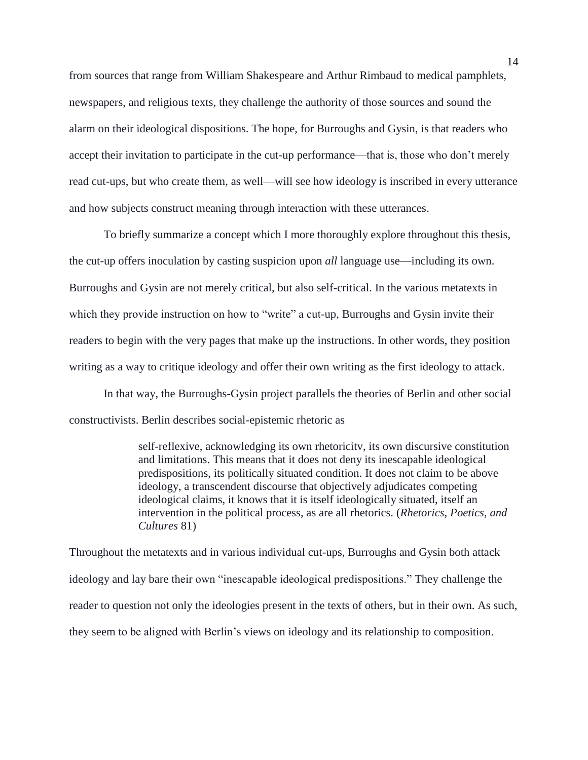from sources that range from William Shakespeare and Arthur Rimbaud to medical pamphlets, newspapers, and religious texts, they challenge the authority of those sources and sound the alarm on their ideological dispositions. The hope, for Burroughs and Gysin, is that readers who accept their invitation to participate in the cut-up performance—that is, those who don't merely read cut-ups, but who create them, as well—will see how ideology is inscribed in every utterance and how subjects construct meaning through interaction with these utterances.

To briefly summarize a concept which I more thoroughly explore throughout this thesis, the cut-up offers inoculation by casting suspicion upon *all* language use—including its own. Burroughs and Gysin are not merely critical, but also self-critical. In the various metatexts in which they provide instruction on how to "write" a cut-up, Burroughs and Gysin invite their readers to begin with the very pages that make up the instructions. In other words, they position writing as a way to critique ideology and offer their own writing as the first ideology to attack.

In that way, the Burroughs-Gysin project parallels the theories of Berlin and other social constructivists. Berlin describes social-epistemic rhetoric as

> self-reflexive, acknowledging its own rhetoricitv, its own discursive constitution and limitations. This means that it does not deny its inescapable ideological predispositions, its politically situated condition. It does not claim to be above ideology, a transcendent discourse that objectively adjudicates competing ideological claims, it knows that it is itself ideologically situated, itself an intervention in the political process, as are all rhetorics. (*Rhetorics, Poetics, and Cultures* 81)

Throughout the metatexts and in various individual cut-ups, Burroughs and Gysin both attack ideology and lay bare their own "inescapable ideological predispositions." They challenge the reader to question not only the ideologies present in the texts of others, but in their own. As such, they seem to be aligned with Berlin's views on ideology and its relationship to composition.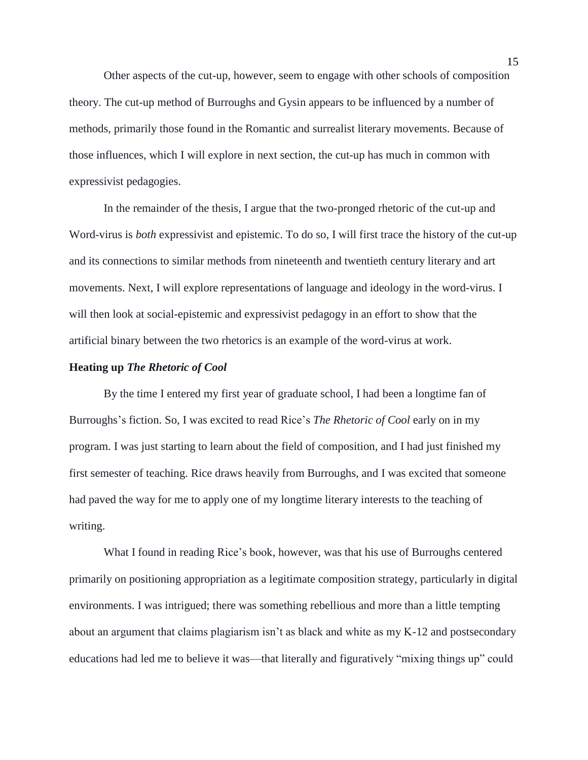Other aspects of the cut-up, however, seem to engage with other schools of composition theory. The cut-up method of Burroughs and Gysin appears to be influenced by a number of methods, primarily those found in the Romantic and surrealist literary movements. Because of those influences, which I will explore in next section, the cut-up has much in common with expressivist pedagogies.

In the remainder of the thesis, I argue that the two-pronged rhetoric of the cut-up and Word-virus is *both* expressivist and epistemic. To do so, I will first trace the history of the cut-up and its connections to similar methods from nineteenth and twentieth century literary and art movements. Next, I will explore representations of language and ideology in the word-virus. I will then look at social-epistemic and expressivist pedagogy in an effort to show that the artificial binary between the two rhetorics is an example of the word-virus at work.

#### **Heating up** *The Rhetoric of Cool*

By the time I entered my first year of graduate school, I had been a longtime fan of Burroughs's fiction. So, I was excited to read Rice's *The Rhetoric of Cool* early on in my program. I was just starting to learn about the field of composition, and I had just finished my first semester of teaching. Rice draws heavily from Burroughs, and I was excited that someone had paved the way for me to apply one of my longtime literary interests to the teaching of writing.

What I found in reading Rice's book, however, was that his use of Burroughs centered primarily on positioning appropriation as a legitimate composition strategy, particularly in digital environments. I was intrigued; there was something rebellious and more than a little tempting about an argument that claims plagiarism isn't as black and white as my K-12 and postsecondary educations had led me to believe it was—that literally and figuratively "mixing things up" could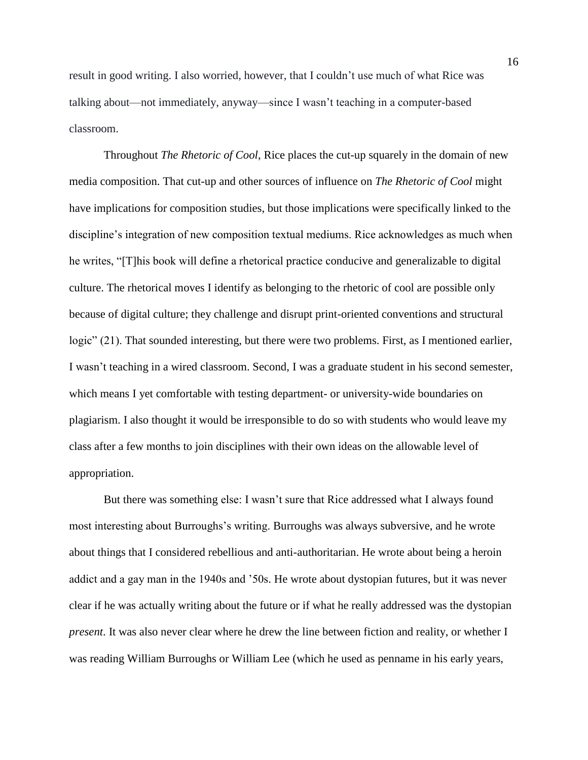result in good writing. I also worried, however, that I couldn't use much of what Rice was talking about—not immediately, anyway—since I wasn't teaching in a computer-based classroom.

Throughout *The Rhetoric of Cool*, Rice places the cut-up squarely in the domain of new media composition. That cut-up and other sources of influence on *The Rhetoric of Cool* might have implications for composition studies, but those implications were specifically linked to the discipline's integration of new composition textual mediums. Rice acknowledges as much when he writes, "[T]his book will define a rhetorical practice conducive and generalizable to digital culture. The rhetorical moves I identify as belonging to the rhetoric of cool are possible only because of digital culture; they challenge and disrupt print-oriented conventions and structural logic" (21). That sounded interesting, but there were two problems. First, as I mentioned earlier, I wasn't teaching in a wired classroom. Second, I was a graduate student in his second semester, which means I yet comfortable with testing department- or university-wide boundaries on plagiarism. I also thought it would be irresponsible to do so with students who would leave my class after a few months to join disciplines with their own ideas on the allowable level of appropriation.

But there was something else: I wasn't sure that Rice addressed what I always found most interesting about Burroughs's writing. Burroughs was always subversive, and he wrote about things that I considered rebellious and anti-authoritarian. He wrote about being a heroin addict and a gay man in the 1940s and '50s. He wrote about dystopian futures, but it was never clear if he was actually writing about the future or if what he really addressed was the dystopian *present*. It was also never clear where he drew the line between fiction and reality, or whether I was reading William Burroughs or William Lee (which he used as penname in his early years,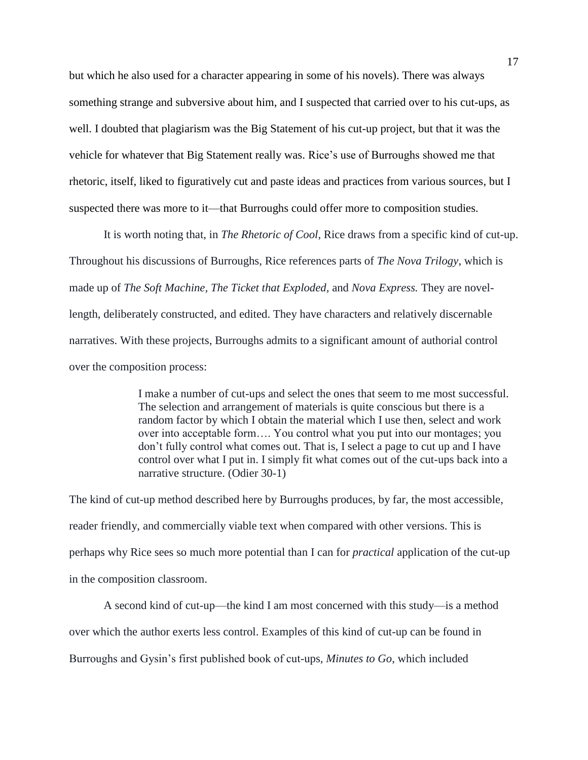but which he also used for a character appearing in some of his novels). There was always something strange and subversive about him, and I suspected that carried over to his cut-ups, as well. I doubted that plagiarism was the Big Statement of his cut-up project, but that it was the vehicle for whatever that Big Statement really was. Rice's use of Burroughs showed me that rhetoric, itself, liked to figuratively cut and paste ideas and practices from various sources, but I suspected there was more to it—that Burroughs could offer more to composition studies.

It is worth noting that, in *The Rhetoric of Cool*, Rice draws from a specific kind of cut-up. Throughout his discussions of Burroughs, Rice references parts of *The Nova Trilogy*, which is made up of *The Soft Machine, The Ticket that Exploded,* and *Nova Express.* They are novellength, deliberately constructed, and edited. They have characters and relatively discernable narratives. With these projects, Burroughs admits to a significant amount of authorial control over the composition process:

> I make a number of cut-ups and select the ones that seem to me most successful. The selection and arrangement of materials is quite conscious but there is a random factor by which I obtain the material which I use then, select and work over into acceptable form…. You control what you put into our montages; you don't fully control what comes out. That is, I select a page to cut up and I have control over what I put in. I simply fit what comes out of the cut-ups back into a narrative structure. (Odier 30-1)

The kind of cut-up method described here by Burroughs produces, by far, the most accessible, reader friendly, and commercially viable text when compared with other versions. This is perhaps why Rice sees so much more potential than I can for *practical* application of the cut-up in the composition classroom.

A second kind of cut-up—the kind I am most concerned with this study—is a method over which the author exerts less control. Examples of this kind of cut-up can be found in Burroughs and Gysin's first published book of cut-ups, *Minutes to Go*, which included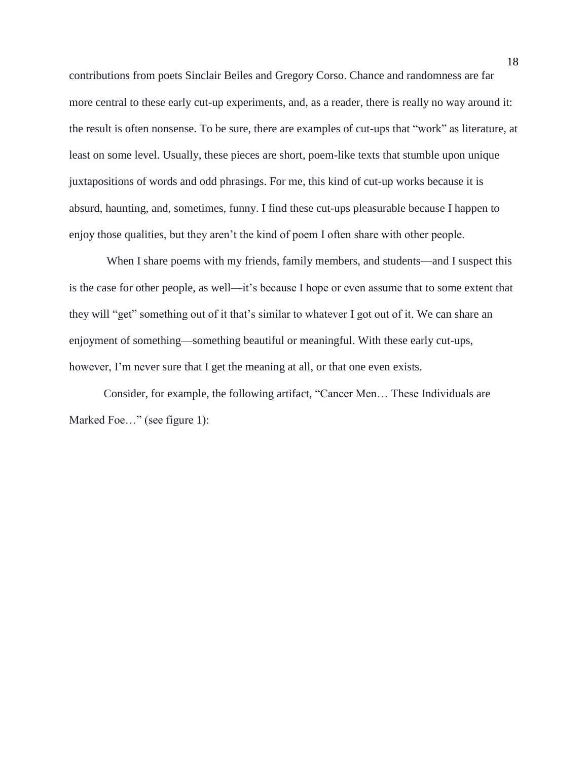contributions from poets Sinclair Beiles and Gregory Corso. Chance and randomness are far more central to these early cut-up experiments, and, as a reader, there is really no way around it: the result is often nonsense. To be sure, there are examples of cut-ups that "work" as literature, at least on some level. Usually, these pieces are short, poem-like texts that stumble upon unique juxtapositions of words and odd phrasings. For me, this kind of cut-up works because it is absurd, haunting, and, sometimes, funny. I find these cut-ups pleasurable because I happen to enjoy those qualities, but they aren't the kind of poem I often share with other people.

When I share poems with my friends, family members, and students—and I suspect this is the case for other people, as well—it's because I hope or even assume that to some extent that they will "get" something out of it that's similar to whatever I got out of it. We can share an enjoyment of something—something beautiful or meaningful. With these early cut-ups, however, I'm never sure that I get the meaning at all, or that one even exists.

Consider, for example, the following artifact, "Cancer Men… These Individuals are Marked Foe…" (see figure 1):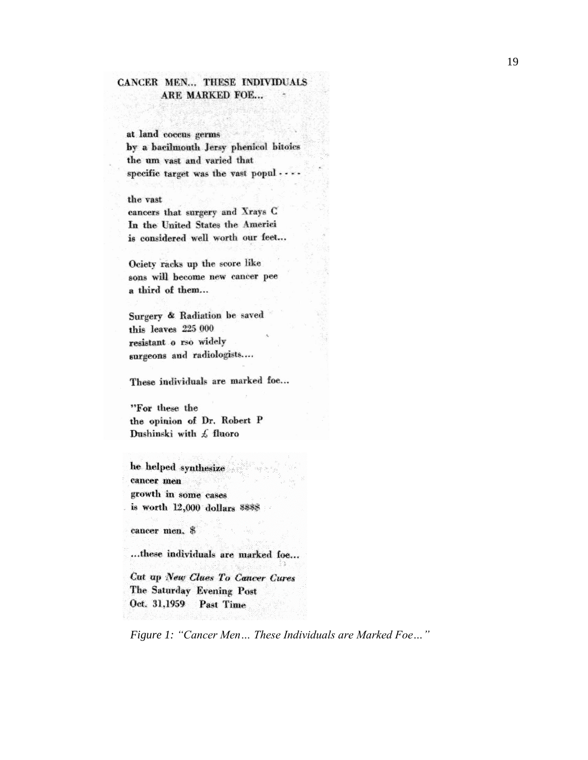#### CANCER MEN... THESE INDIVIDUALS ARE MARKED FOE...

at land coccus germs

by a bacilmouth Jersy phenicol bitoics the um vast and varied that specific target was the vast  $popul \cdots$ 

#### the vast

cancers that surgery and Xrays C In the United States the Americi is considered well worth our feet...

Ociety racks up the score like sons will become new cancer pee a third of them...

Surgery & Radiation be saved this leaves 225 000 resistant o rso widely surgeons and radiologists....

These individuals are marked foe...

"For these the the opinion of Dr. Robert P Dushinski with £ fluoro

he helped synthesize cancer men growth in some cases is worth 12,000 dollars \$888

cancer men. \$

...these individuals are marked foe...

Cut up New Claes To Cancer Cures The Saturday Evening Post Oct. 31,1959 Past Time

*Figure 1: "Cancer Men… These Individuals are Marked Foe…"*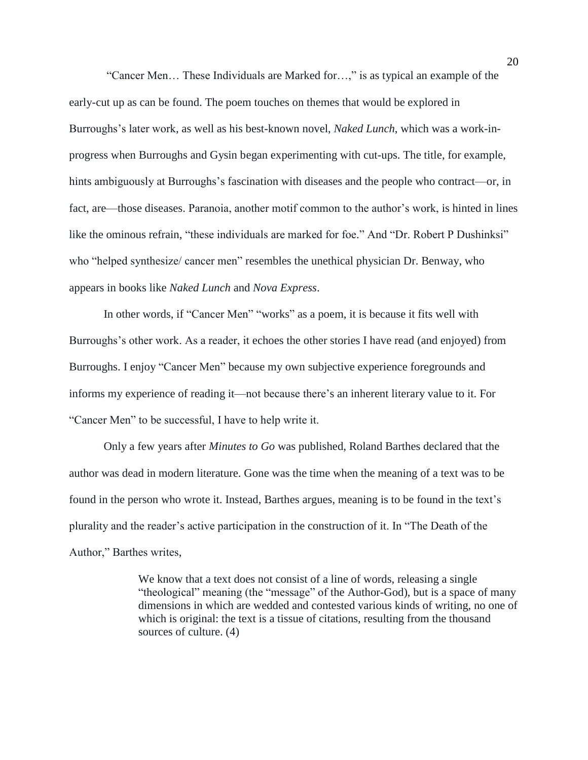"Cancer Men… These Individuals are Marked for…," is as typical an example of the early-cut up as can be found. The poem touches on themes that would be explored in Burroughs's later work, as well as his best-known novel, *Naked Lunch*, which was a work-inprogress when Burroughs and Gysin began experimenting with cut-ups. The title, for example, hints ambiguously at Burroughs's fascination with diseases and the people who contract—or, in fact, are—those diseases. Paranoia, another motif common to the author's work, is hinted in lines like the ominous refrain, "these individuals are marked for foe." And "Dr. Robert P Dushinksi" who "helped synthesize/ cancer men" resembles the unethical physician Dr. Benway, who appears in books like *Naked Lunch* and *Nova Express*.

In other words, if "Cancer Men" "works" as a poem, it is because it fits well with Burroughs's other work. As a reader, it echoes the other stories I have read (and enjoyed) from Burroughs. I enjoy "Cancer Men" because my own subjective experience foregrounds and informs my experience of reading it—not because there's an inherent literary value to it. For "Cancer Men" to be successful, I have to help write it.

Only a few years after *Minutes to Go* was published, Roland Barthes declared that the author was dead in modern literature. Gone was the time when the meaning of a text was to be found in the person who wrote it. Instead, Barthes argues, meaning is to be found in the text's plurality and the reader's active participation in the construction of it. In "The Death of the Author," Barthes writes,

> We know that a text does not consist of a line of words, releasing a single "theological" meaning (the "message" of the Author-God), but is a space of many dimensions in which are wedded and contested various kinds of writing, no one of which is original: the text is a tissue of citations, resulting from the thousand sources of culture. (4)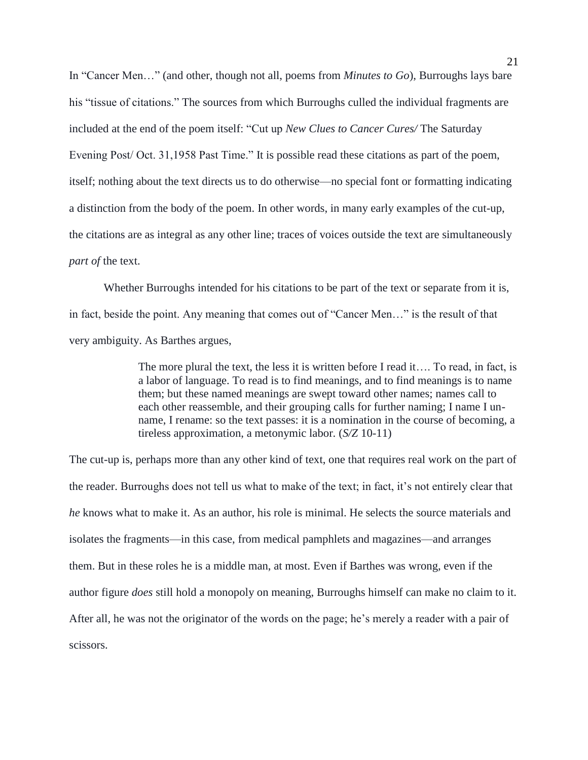In "Cancer Men…" (and other, though not all, poems from *Minutes to Go*), Burroughs lays bare his "tissue of citations." The sources from which Burroughs culled the individual fragments are included at the end of the poem itself: "Cut up *New Clues to Cancer Cures/* The Saturday Evening Post/ Oct. 31,1958 Past Time." It is possible read these citations as part of the poem, itself; nothing about the text directs us to do otherwise—no special font or formatting indicating a distinction from the body of the poem. In other words, in many early examples of the cut-up, the citations are as integral as any other line; traces of voices outside the text are simultaneously *part of* the text.

Whether Burroughs intended for his citations to be part of the text or separate from it is, in fact, beside the point. Any meaning that comes out of "Cancer Men…" is the result of that very ambiguity. As Barthes argues,

> The more plural the text, the less it is written before I read it…. To read, in fact, is a labor of language. To read is to find meanings, and to find meanings is to name them; but these named meanings are swept toward other names; names call to each other reassemble, and their grouping calls for further naming; I name I unname, I rename: so the text passes: it is a nomination in the course of becoming, a tireless approximation, a metonymic labor. (*S/Z* 10-11)

The cut-up is, perhaps more than any other kind of text, one that requires real work on the part of the reader. Burroughs does not tell us what to make of the text; in fact, it's not entirely clear that *he* knows what to make it. As an author, his role is minimal. He selects the source materials and isolates the fragments—in this case, from medical pamphlets and magazines—and arranges them. But in these roles he is a middle man, at most. Even if Barthes was wrong, even if the author figure *does* still hold a monopoly on meaning, Burroughs himself can make no claim to it. After all, he was not the originator of the words on the page; he's merely a reader with a pair of scissors.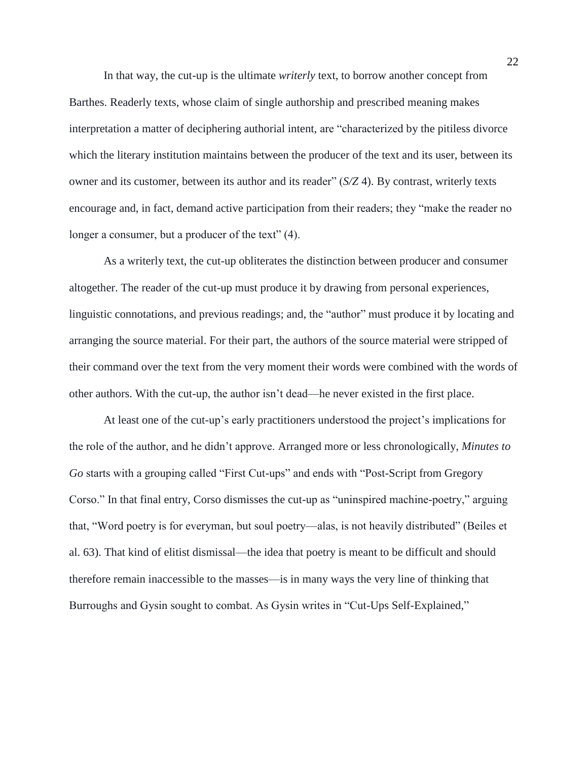In that way, the cut-up is the ultimate *writerly* text, to borrow another concept from Barthes. Readerly texts, whose claim of single authorship and prescribed meaning makes interpretation a matter of deciphering authorial intent, are "characterized by the pitiless divorce which the literary institution maintains between the producer of the text and its user, between its owner and its customer, between its author and its reader" (*S/Z* 4). By contrast, writerly texts encourage and, in fact, demand active participation from their readers; they "make the reader no longer a consumer, but a producer of the text" (4).

As a writerly text, the cut-up obliterates the distinction between producer and consumer altogether. The reader of the cut-up must produce it by drawing from personal experiences, linguistic connotations, and previous readings; and, the "author" must produce it by locating and arranging the source material. For their part, the authors of the source material were stripped of their command over the text from the very moment their words were combined with the words of other authors. With the cut-up, the author isn't dead—he never existed in the first place.

At least one of the cut-up's early practitioners understood the project's implications for the role of the author, and he didn't approve. Arranged more or less chronologically, *Minutes to Go* starts with a grouping called "First Cut-ups" and ends with "Post-Script from Gregory Corso." In that final entry, Corso dismisses the cut-up as "uninspired machine-poetry," arguing that, "Word poetry is for everyman, but soul poetry—alas, is not heavily distributed" (Beiles et al. 63). That kind of elitist dismissal—the idea that poetry is meant to be difficult and should therefore remain inaccessible to the masses—is in many ways the very line of thinking that Burroughs and Gysin sought to combat. As Gysin writes in "Cut-Ups Self-Explained,"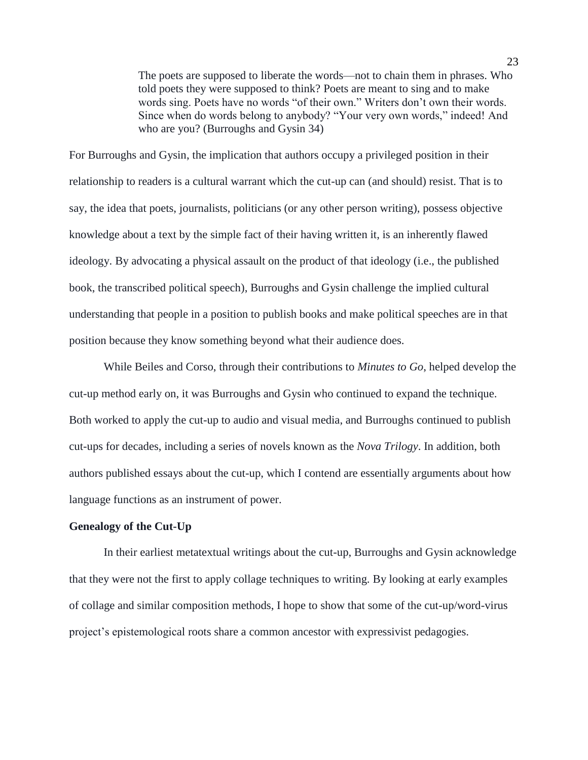The poets are supposed to liberate the words—not to chain them in phrases. Who told poets they were supposed to think? Poets are meant to sing and to make words sing. Poets have no words "of their own." Writers don't own their words. Since when do words belong to anybody? "Your very own words," indeed! And who are you? (Burroughs and Gysin 34)

For Burroughs and Gysin, the implication that authors occupy a privileged position in their relationship to readers is a cultural warrant which the cut-up can (and should) resist. That is to say, the idea that poets, journalists, politicians (or any other person writing), possess objective knowledge about a text by the simple fact of their having written it, is an inherently flawed ideology. By advocating a physical assault on the product of that ideology (i.e., the published book, the transcribed political speech), Burroughs and Gysin challenge the implied cultural understanding that people in a position to publish books and make political speeches are in that position because they know something beyond what their audience does.

While Beiles and Corso, through their contributions to *Minutes to Go*, helped develop the cut-up method early on, it was Burroughs and Gysin who continued to expand the technique. Both worked to apply the cut-up to audio and visual media, and Burroughs continued to publish cut-ups for decades, including a series of novels known as the *Nova Trilogy*. In addition, both authors published essays about the cut-up, which I contend are essentially arguments about how language functions as an instrument of power.

#### **Genealogy of the Cut-Up**

In their earliest metatextual writings about the cut-up, Burroughs and Gysin acknowledge that they were not the first to apply collage techniques to writing. By looking at early examples of collage and similar composition methods, I hope to show that some of the cut-up/word-virus project's epistemological roots share a common ancestor with expressivist pedagogies.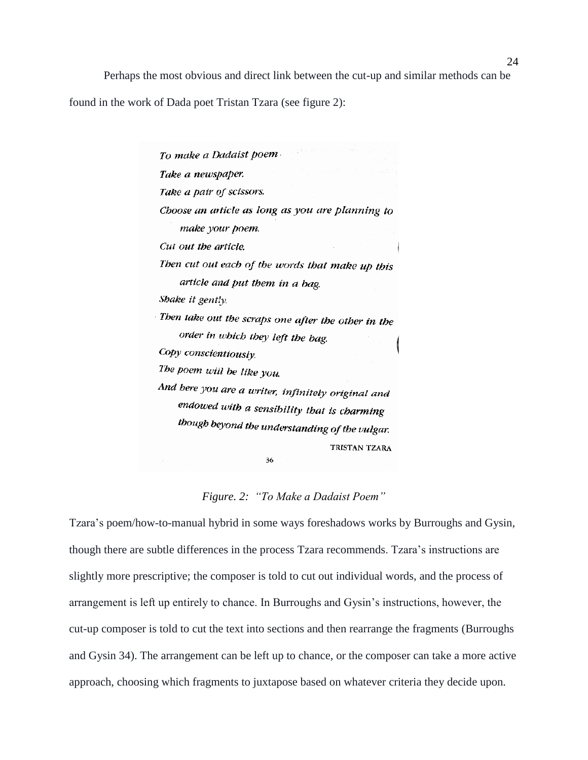Perhaps the most obvious and direct link between the cut-up and similar methods can be found in the work of Dada poet Tristan Tzara (see figure 2):

> To make a Dadaist poem-Take a newspaper. Take a pair of scissors. Choose an article as long as you are planning to make your poem. Cut out the article Then cut out each of the words that make up this article and put them in a bag. Shake it gently. Then take out the scraps one after the other in the order in which they left the bag. Copy conscientiously. The poem will be like you. And here you are a writer, infinitely original and endowed with a sensibility that is charming though beyond the understanding of the vulgar. **TRISTAN TZARA** 36

*Figure. 2: "To Make a Dadaist Poem"*

Tzara's poem/how-to-manual hybrid in some ways foreshadows works by Burroughs and Gysin, though there are subtle differences in the process Tzara recommends. Tzara's instructions are slightly more prescriptive; the composer is told to cut out individual words, and the process of arrangement is left up entirely to chance. In Burroughs and Gysin's instructions, however, the cut-up composer is told to cut the text into sections and then rearrange the fragments (Burroughs and Gysin 34). The arrangement can be left up to chance, or the composer can take a more active approach, choosing which fragments to juxtapose based on whatever criteria they decide upon.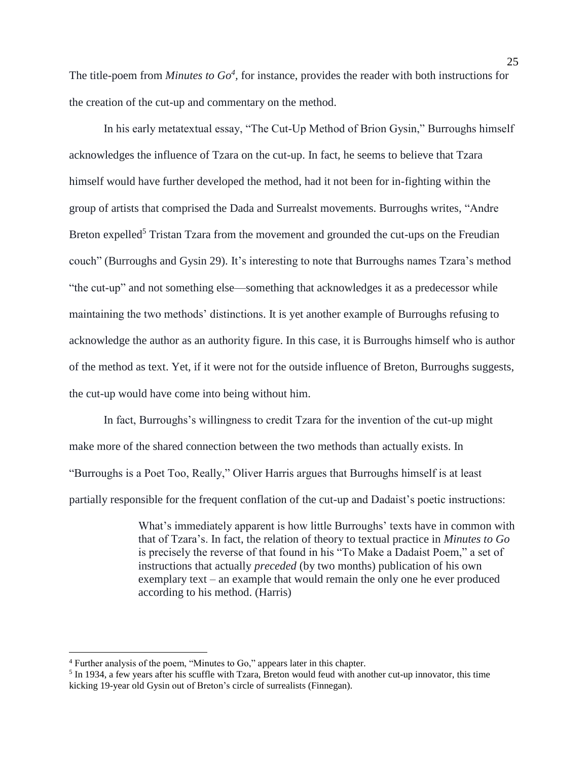The title-poem from *Minutes to*  $Go^4$ , for instance, provides the reader with both instructions for the creation of the cut-up and commentary on the method.

In his early metatextual essay, "The Cut-Up Method of Brion Gysin," Burroughs himself acknowledges the influence of Tzara on the cut-up. In fact, he seems to believe that Tzara himself would have further developed the method, had it not been for in-fighting within the group of artists that comprised the Dada and Surrealst movements. Burroughs writes, "Andre Breton expelled<sup>5</sup> Tristan Tzara from the movement and grounded the cut-ups on the Freudian couch" (Burroughs and Gysin 29). It's interesting to note that Burroughs names Tzara's method "the cut-up" and not something else—something that acknowledges it as a predecessor while maintaining the two methods' distinctions. It is yet another example of Burroughs refusing to acknowledge the author as an authority figure. In this case, it is Burroughs himself who is author of the method as text. Yet, if it were not for the outside influence of Breton, Burroughs suggests, the cut-up would have come into being without him.

In fact, Burroughs's willingness to credit Tzara for the invention of the cut-up might make more of the shared connection between the two methods than actually exists. In "Burroughs is a Poet Too, Really," Oliver Harris argues that Burroughs himself is at least partially responsible for the frequent conflation of the cut-up and Dadaist's poetic instructions:

> What's immediately apparent is how little Burroughs' texts have in common with that of Tzara's. In fact, the relation of theory to textual practice in *Minutes to Go*  is precisely the reverse of that found in his "To Make a Dadaist Poem," a set of instructions that actually *preceded* (by two months) publication of his own exemplary text – an example that would remain the only one he ever produced according to his method. (Harris)

 $\overline{a}$ 

<sup>4</sup> Further analysis of the poem, "Minutes to Go," appears later in this chapter.

<sup>&</sup>lt;sup>5</sup> In 1934, a few years after his scuffle with Tzara, Breton would feud with another cut-up innovator, this time kicking 19-year old Gysin out of Breton's circle of surrealists (Finnegan).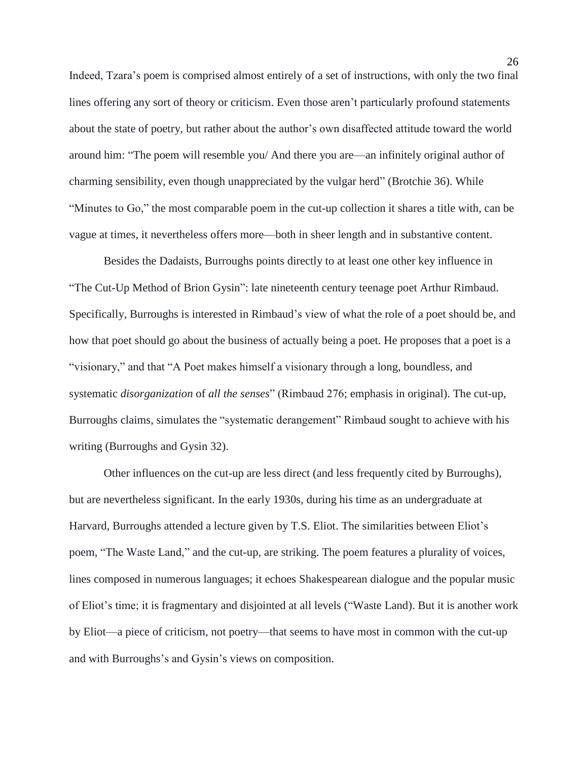Indeed, Tzara's poem is comprised almost entirely of a set of instructions, with only the two final lines offering any sort of theory or criticism. Even those aren't particularly profound statements about the state of poetry, but rather about the author's own disaffected attitude toward the world around him: "The poem will resemble you/ And there you are—an infinitely original author of charming sensibility, even though unappreciated by the vulgar herd" (Brotchie 36). While "Minutes to Go," the most comparable poem in the cut-up collection it shares a title with, can be vague at times, it nevertheless offers more—both in sheer length and in substantive content.

Besides the Dadaists, Burroughs points directly to at least one other key influence in "The Cut-Up Method of Brion Gysin": late nineteenth century teenage poet Arthur Rimbaud. Specifically, Burroughs is interested in Rimbaud's view of what the role of a poet should be, and how that poet should go about the business of actually being a poet. He proposes that a poet is a "visionary," and that "A Poet makes himself a visionary through a long, boundless, and systematic *disorganization* of *all the senses*" (Rimbaud 276; emphasis in original). The cut-up, Burroughs claims, simulates the "systematic derangement" Rimbaud sought to achieve with his writing (Burroughs and Gysin 32).

Other influences on the cut-up are less direct (and less frequently cited by Burroughs), but are nevertheless significant. In the early 1930s, during his time as an undergraduate at Harvard, Burroughs attended a lecture given by T.S. Eliot. The similarities between Eliot's poem, "The Waste Land," and the cut-up, are striking. The poem features a plurality of voices, lines composed in numerous languages; it echoes Shakespearean dialogue and the popular music of Eliot's time; it is fragmentary and disjointed at all levels ("Waste Land). But it is another work by Eliot—a piece of criticism, not poetry—that seems to have most in common with the cut-up and with Burroughs's and Gysin's views on composition.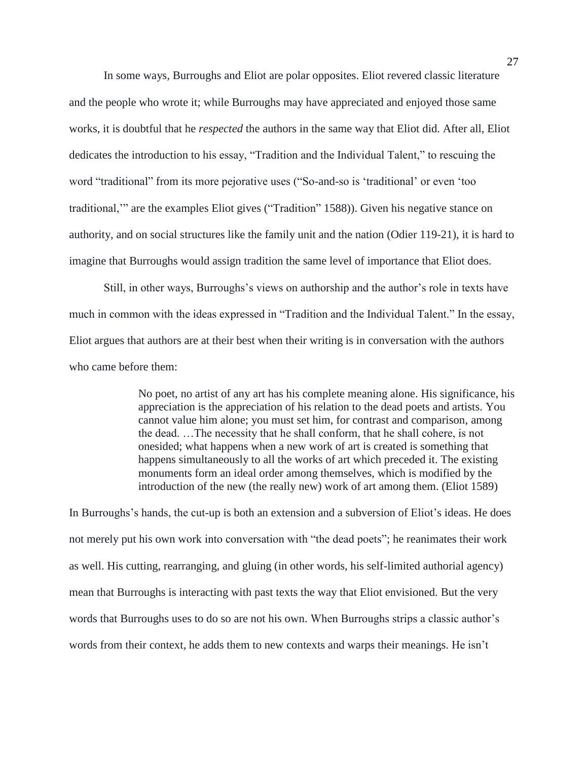In some ways, Burroughs and Eliot are polar opposites. Eliot revered classic literature and the people who wrote it; while Burroughs may have appreciated and enjoyed those same works, it is doubtful that he *respected* the authors in the same way that Eliot did. After all, Eliot dedicates the introduction to his essay, "Tradition and the Individual Talent," to rescuing the word "traditional" from its more pejorative uses ("So-and-so is 'traditional' or even 'too traditional,'" are the examples Eliot gives ("Tradition" 1588)). Given his negative stance on authority, and on social structures like the family unit and the nation (Odier 119-21), it is hard to imagine that Burroughs would assign tradition the same level of importance that Eliot does.

Still, in other ways, Burroughs's views on authorship and the author's role in texts have much in common with the ideas expressed in "Tradition and the Individual Talent." In the essay, Eliot argues that authors are at their best when their writing is in conversation with the authors who came before them:

> No poet, no artist of any art has his complete meaning alone. His significance, his appreciation is the appreciation of his relation to the dead poets and artists. You cannot value him alone; you must set him, for contrast and comparison, among the dead. …The necessity that he shall conform, that he shall cohere, is not onesided; what happens when a new work of art is created is something that happens simultaneously to all the works of art which preceded it. The existing monuments form an ideal order among themselves, which is modified by the introduction of the new (the really new) work of art among them. (Eliot 1589)

In Burroughs's hands, the cut-up is both an extension and a subversion of Eliot's ideas. He does not merely put his own work into conversation with "the dead poets"; he reanimates their work as well. His cutting, rearranging, and gluing (in other words, his self-limited authorial agency) mean that Burroughs is interacting with past texts the way that Eliot envisioned. But the very words that Burroughs uses to do so are not his own. When Burroughs strips a classic author's words from their context, he adds them to new contexts and warps their meanings. He isn't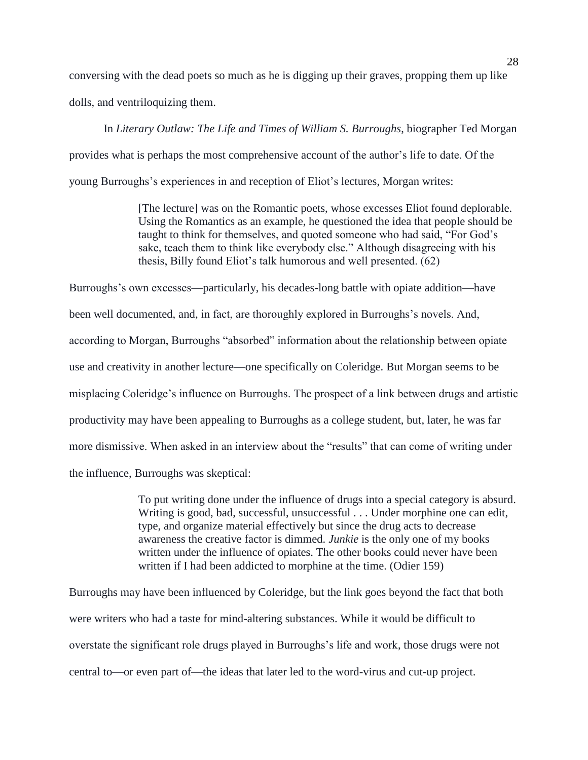conversing with the dead poets so much as he is digging up their graves, propping them up like dolls, and ventriloquizing them.

In *Literary Outlaw: The Life and Times of William S. Burroughs*, biographer Ted Morgan provides what is perhaps the most comprehensive account of the author's life to date. Of the young Burroughs's experiences in and reception of Eliot's lectures, Morgan writes:

> [The lecture] was on the Romantic poets, whose excesses Eliot found deplorable. Using the Romantics as an example, he questioned the idea that people should be taught to think for themselves, and quoted someone who had said, "For God's sake, teach them to think like everybody else." Although disagreeing with his thesis, Billy found Eliot's talk humorous and well presented. (62)

Burroughs's own excesses—particularly, his decades-long battle with opiate addition—have been well documented, and, in fact, are thoroughly explored in Burroughs's novels. And, according to Morgan, Burroughs "absorbed" information about the relationship between opiate use and creativity in another lecture—one specifically on Coleridge. But Morgan seems to be misplacing Coleridge's influence on Burroughs. The prospect of a link between drugs and artistic productivity may have been appealing to Burroughs as a college student, but, later, he was far more dismissive. When asked in an interview about the "results" that can come of writing under the influence, Burroughs was skeptical:

> To put writing done under the influence of drugs into a special category is absurd. Writing is good, bad, successful, unsuccessful . . . Under morphine one can edit, type, and organize material effectively but since the drug acts to decrease awareness the creative factor is dimmed. *Junkie* is the only one of my books written under the influence of opiates. The other books could never have been written if I had been addicted to morphine at the time. (Odier 159)

Burroughs may have been influenced by Coleridge, but the link goes beyond the fact that both were writers who had a taste for mind-altering substances. While it would be difficult to overstate the significant role drugs played in Burroughs's life and work, those drugs were not central to—or even part of—the ideas that later led to the word-virus and cut-up project.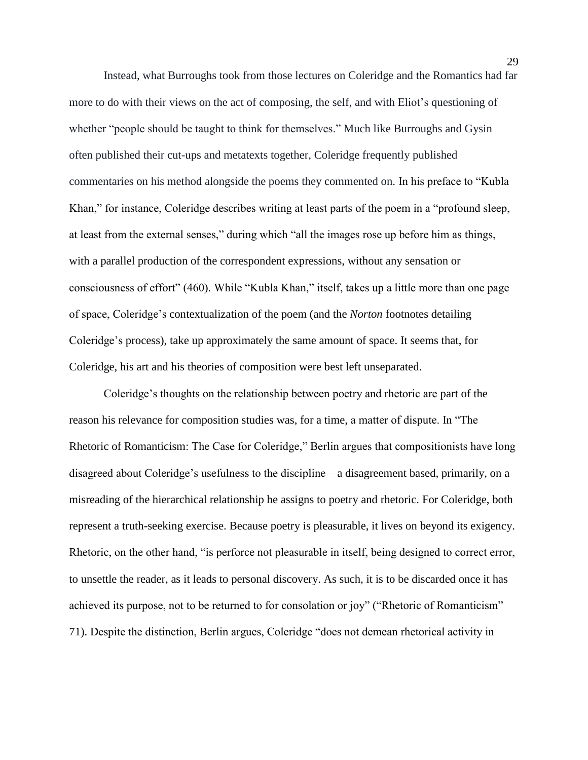Instead, what Burroughs took from those lectures on Coleridge and the Romantics had far more to do with their views on the act of composing, the self, and with Eliot's questioning of whether "people should be taught to think for themselves." Much like Burroughs and Gysin often published their cut-ups and metatexts together, Coleridge frequently published commentaries on his method alongside the poems they commented on. In his preface to "Kubla Khan," for instance, Coleridge describes writing at least parts of the poem in a "profound sleep, at least from the external senses," during which "all the images rose up before him as things, with a parallel production of the correspondent expressions, without any sensation or consciousness of effort" (460). While "Kubla Khan," itself, takes up a little more than one page of space, Coleridge's contextualization of the poem (and the *Norton* footnotes detailing Coleridge's process), take up approximately the same amount of space. It seems that, for Coleridge, his art and his theories of composition were best left unseparated.

Coleridge's thoughts on the relationship between poetry and rhetoric are part of the reason his relevance for composition studies was, for a time, a matter of dispute. In "The Rhetoric of Romanticism: The Case for Coleridge," Berlin argues that compositionists have long disagreed about Coleridge's usefulness to the discipline—a disagreement based, primarily, on a misreading of the hierarchical relationship he assigns to poetry and rhetoric. For Coleridge, both represent a truth-seeking exercise. Because poetry is pleasurable, it lives on beyond its exigency. Rhetoric, on the other hand, "is perforce not pleasurable in itself, being designed to correct error, to unsettle the reader, as it leads to personal discovery. As such, it is to be discarded once it has achieved its purpose, not to be returned to for consolation or joy" ("Rhetoric of Romanticism" 71). Despite the distinction, Berlin argues, Coleridge "does not demean rhetorical activity in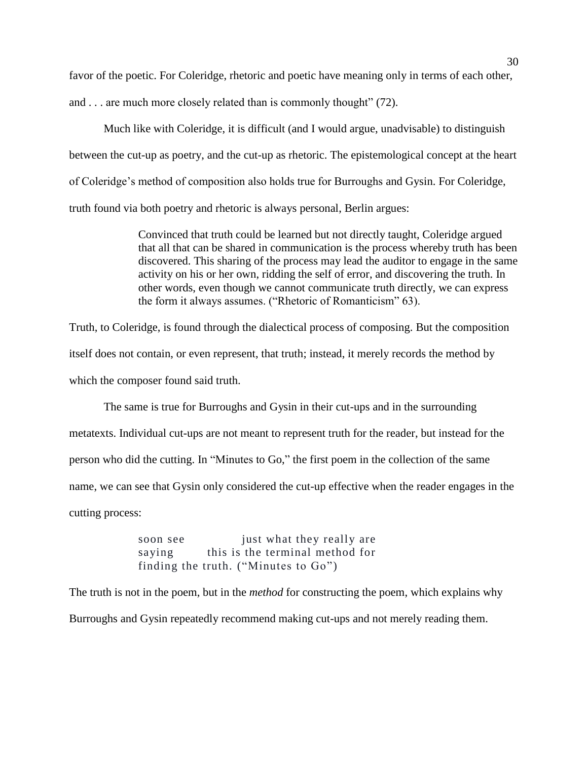favor of the poetic. For Coleridge, rhetoric and poetic have meaning only in terms of each other,

and . . . are much more closely related than is commonly thought" (72).

Much like with Coleridge, it is difficult (and I would argue, unadvisable) to distinguish between the cut-up as poetry, and the cut-up as rhetoric. The epistemological concept at the heart of Coleridge's method of composition also holds true for Burroughs and Gysin. For Coleridge, truth found via both poetry and rhetoric is always personal, Berlin argues:

> Convinced that truth could be learned but not directly taught, Coleridge argued that all that can be shared in communication is the process whereby truth has been discovered. This sharing of the process may lead the auditor to engage in the same activity on his or her own, ridding the self of error, and discovering the truth. In other words, even though we cannot communicate truth directly, we can express the form it always assumes. ("Rhetoric of Romanticism" 63).

Truth, to Coleridge, is found through the dialectical process of composing. But the composition itself does not contain, or even represent, that truth; instead, it merely records the method by which the composer found said truth.

The same is true for Burroughs and Gysin in their cut-ups and in the surrounding metatexts. Individual cut-ups are not meant to represent truth for the reader, but instead for the person who did the cutting. In "Minutes to Go," the first poem in the collection of the same name, we can see that Gysin only considered the cut-up effective when the reader engages in the cutting process:

> soon see just what they really are saying this is the terminal method for finding the truth. ("Minutes to Go")

The truth is not in the poem, but in the *method* for constructing the poem, which explains why Burroughs and Gysin repeatedly recommend making cut-ups and not merely reading them.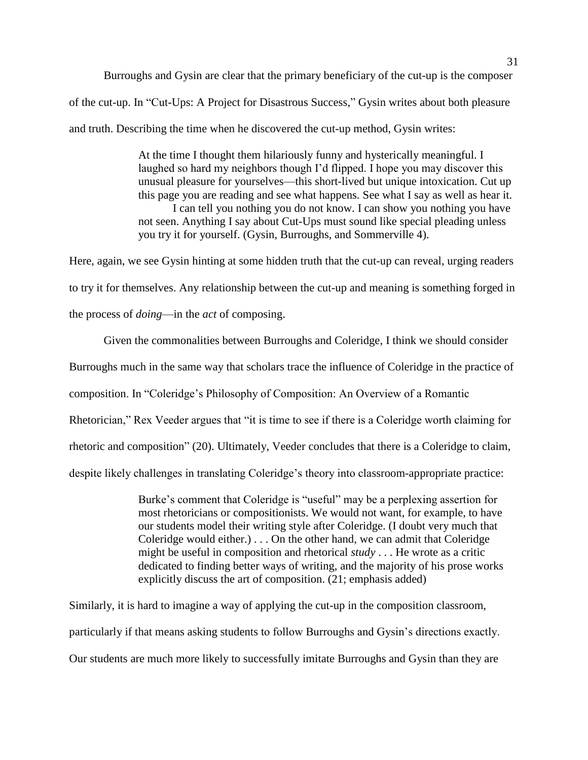Burroughs and Gysin are clear that the primary beneficiary of the cut-up is the composer of the cut-up. In "Cut-Ups: A Project for Disastrous Success," Gysin writes about both pleasure and truth. Describing the time when he discovered the cut-up method, Gysin writes:

> At the time I thought them hilariously funny and hysterically meaningful. I laughed so hard my neighbors though I'd flipped. I hope you may discover this unusual pleasure for yourselves—this short-lived but unique intoxication. Cut up this page you are reading and see what happens. See what I say as well as hear it. I can tell you nothing you do not know. I can show you nothing you have not seen. Anything I say about Cut-Ups must sound like special pleading unless you try it for yourself. (Gysin, Burroughs, and Sommerville 4).

Here, again, we see Gysin hinting at some hidden truth that the cut-up can reveal, urging readers to try it for themselves. Any relationship between the cut-up and meaning is something forged in the process of *doing*—in the *act* of composing.

Given the commonalities between Burroughs and Coleridge, I think we should consider Burroughs much in the same way that scholars trace the influence of Coleridge in the practice of composition. In "Coleridge's Philosophy of Composition: An Overview of a Romantic Rhetorician," Rex Veeder argues that "it is time to see if there is a Coleridge worth claiming for rhetoric and composition" (20). Ultimately, Veeder concludes that there is a Coleridge to claim, despite likely challenges in translating Coleridge's theory into classroom-appropriate practice:

> Burke's comment that Coleridge is "useful" may be a perplexing assertion for most rhetoricians or compositionists. We would not want, for example, to have our students model their writing style after Coleridge. (I doubt very much that Coleridge would either.) . . . On the other hand, we can admit that Coleridge might be useful in composition and rhetorical *study* . . . He wrote as a critic dedicated to finding better ways of writing, and the majority of his prose works explicitly discuss the art of composition. (21; emphasis added)

Similarly, it is hard to imagine a way of applying the cut-up in the composition classroom, particularly if that means asking students to follow Burroughs and Gysin's directions exactly. Our students are much more likely to successfully imitate Burroughs and Gysin than they are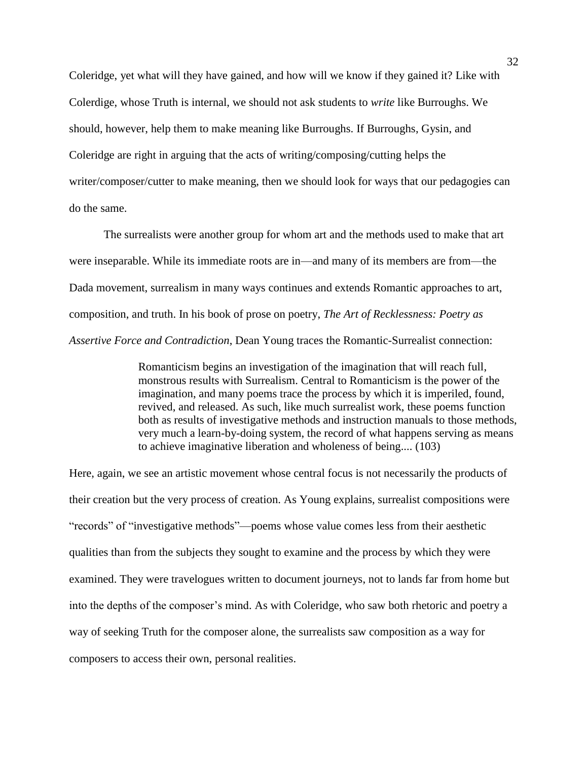Coleridge, yet what will they have gained, and how will we know if they gained it? Like with Colerdige, whose Truth is internal, we should not ask students to *write* like Burroughs. We should, however, help them to make meaning like Burroughs. If Burroughs, Gysin, and Coleridge are right in arguing that the acts of writing/composing/cutting helps the writer/composer/cutter to make meaning, then we should look for ways that our pedagogies can do the same.

The surrealists were another group for whom art and the methods used to make that art were inseparable. While its immediate roots are in—and many of its members are from—the Dada movement, surrealism in many ways continues and extends Romantic approaches to art, composition, and truth. In his book of prose on poetry, *The Art of Recklessness: Poetry as Assertive Force and Contradiction*, Dean Young traces the Romantic-Surrealist connection:

> Romanticism begins an investigation of the imagination that will reach full, monstrous results with Surrealism. Central to Romanticism is the power of the imagination, and many poems trace the process by which it is imperiled, found, revived, and released. As such, like much surrealist work, these poems function both as results of investigative methods and instruction manuals to those methods, very much a learn-by-doing system, the record of what happens serving as means to achieve imaginative liberation and wholeness of being.... (103)

Here, again, we see an artistic movement whose central focus is not necessarily the products of their creation but the very process of creation. As Young explains, surrealist compositions were "records" of "investigative methods"—poems whose value comes less from their aesthetic qualities than from the subjects they sought to examine and the process by which they were examined. They were travelogues written to document journeys, not to lands far from home but into the depths of the composer's mind. As with Coleridge, who saw both rhetoric and poetry a way of seeking Truth for the composer alone, the surrealists saw composition as a way for composers to access their own, personal realities.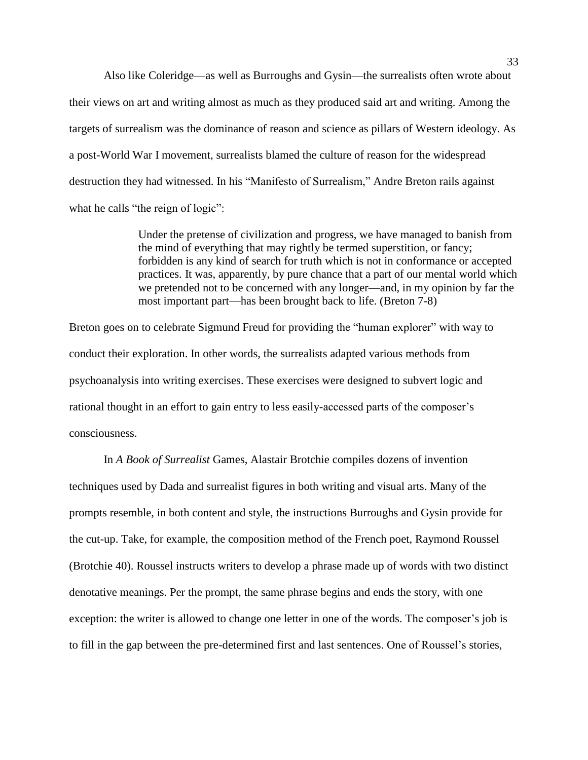Also like Coleridge—as well as Burroughs and Gysin—the surrealists often wrote about their views on art and writing almost as much as they produced said art and writing. Among the targets of surrealism was the dominance of reason and science as pillars of Western ideology. As a post-World War I movement, surrealists blamed the culture of reason for the widespread destruction they had witnessed. In his "Manifesto of Surrealism," Andre Breton rails against what he calls "the reign of logic":

> Under the pretense of civilization and progress, we have managed to banish from the mind of everything that may rightly be termed superstition, or fancy; forbidden is any kind of search for truth which is not in conformance or accepted practices. It was, apparently, by pure chance that a part of our mental world which we pretended not to be concerned with any longer—and, in my opinion by far the most important part—has been brought back to life. (Breton 7-8)

Breton goes on to celebrate Sigmund Freud for providing the "human explorer" with way to conduct their exploration. In other words, the surrealists adapted various methods from psychoanalysis into writing exercises. These exercises were designed to subvert logic and rational thought in an effort to gain entry to less easily-accessed parts of the composer's consciousness.

In *A Book of Surrealist* Games, Alastair Brotchie compiles dozens of invention techniques used by Dada and surrealist figures in both writing and visual arts. Many of the prompts resemble, in both content and style, the instructions Burroughs and Gysin provide for the cut-up. Take, for example, the composition method of the French poet, Raymond Roussel (Brotchie 40). Roussel instructs writers to develop a phrase made up of words with two distinct denotative meanings. Per the prompt, the same phrase begins and ends the story, with one exception: the writer is allowed to change one letter in one of the words. The composer's job is to fill in the gap between the pre-determined first and last sentences. One of Roussel's stories,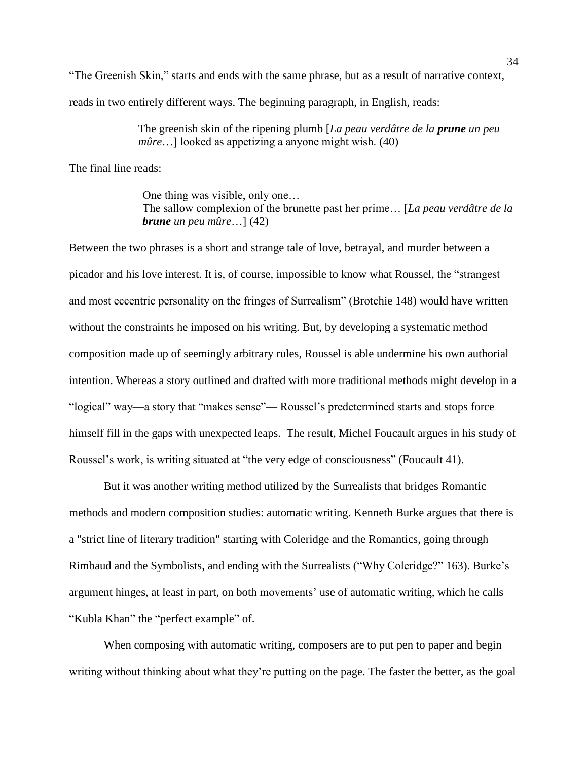"The Greenish Skin," starts and ends with the same phrase, but as a result of narrative context, reads in two entirely different ways. The beginning paragraph, in English, reads:

> The greenish skin of the ripening plumb [*La peau verdâtre de la prune un peu mûre*…] looked as appetizing a anyone might wish. (40)

The final line reads:

One thing was visible, only one… The sallow complexion of the brunette past her prime… [*La peau verdâtre de la brune un peu mûre*…] (42)

Between the two phrases is a short and strange tale of love, betrayal, and murder between a picador and his love interest. It is, of course, impossible to know what Roussel, the "strangest and most eccentric personality on the fringes of Surrealism" (Brotchie 148) would have written without the constraints he imposed on his writing. But, by developing a systematic method composition made up of seemingly arbitrary rules, Roussel is able undermine his own authorial intention. Whereas a story outlined and drafted with more traditional methods might develop in a "logical" way—a story that "makes sense"— Roussel's predetermined starts and stops force himself fill in the gaps with unexpected leaps. The result, Michel Foucault argues in his study of Roussel's work, is writing situated at "the very edge of consciousness" (Foucault 41).

But it was another writing method utilized by the Surrealists that bridges Romantic methods and modern composition studies: automatic writing. Kenneth Burke argues that there is a "strict line of literary tradition" starting with Coleridge and the Romantics, going through Rimbaud and the Symbolists, and ending with the Surrealists ("Why Coleridge?" 163). Burke's argument hinges, at least in part, on both movements' use of automatic writing, which he calls "Kubla Khan" the "perfect example" of.

When composing with automatic writing, composers are to put pen to paper and begin writing without thinking about what they're putting on the page. The faster the better, as the goal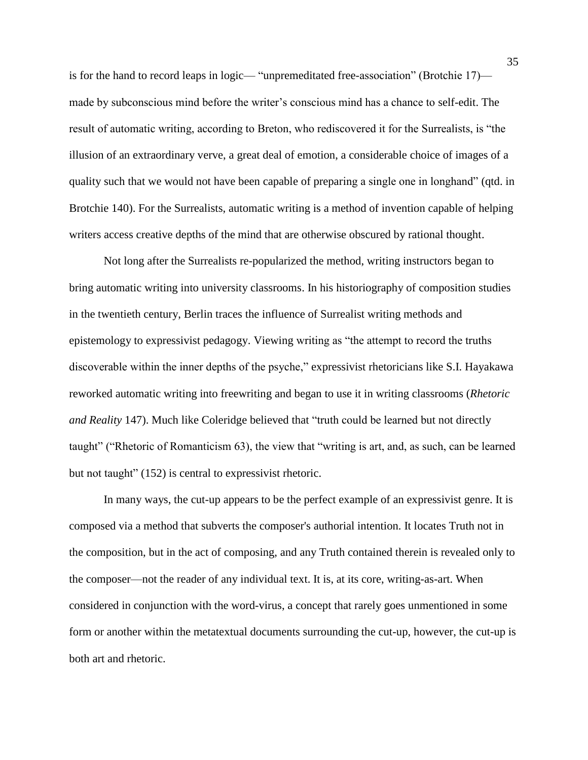is for the hand to record leaps in logic— "unpremeditated free-association" (Brotchie 17) made by subconscious mind before the writer's conscious mind has a chance to self-edit. The result of automatic writing, according to Breton, who rediscovered it for the Surrealists, is "the illusion of an extraordinary verve, a great deal of emotion, a considerable choice of images of a quality such that we would not have been capable of preparing a single one in longhand" (qtd. in Brotchie 140). For the Surrealists, automatic writing is a method of invention capable of helping writers access creative depths of the mind that are otherwise obscured by rational thought.

Not long after the Surrealists re-popularized the method, writing instructors began to bring automatic writing into university classrooms. In his historiography of composition studies in the twentieth century, Berlin traces the influence of Surrealist writing methods and epistemology to expressivist pedagogy. Viewing writing as "the attempt to record the truths discoverable within the inner depths of the psyche," expressivist rhetoricians like S.I. Hayakawa reworked automatic writing into freewriting and began to use it in writing classrooms (*Rhetoric and Reality* 147). Much like Coleridge believed that "truth could be learned but not directly taught" ("Rhetoric of Romanticism 63), the view that "writing is art, and, as such, can be learned but not taught" (152) is central to expressivist rhetoric.

In many ways, the cut-up appears to be the perfect example of an expressivist genre. It is composed via a method that subverts the composer's authorial intention. It locates Truth not in the composition, but in the act of composing, and any Truth contained therein is revealed only to the composer—not the reader of any individual text. It is, at its core, writing-as-art. When considered in conjunction with the word-virus, a concept that rarely goes unmentioned in some form or another within the metatextual documents surrounding the cut-up, however, the cut-up is both art and rhetoric.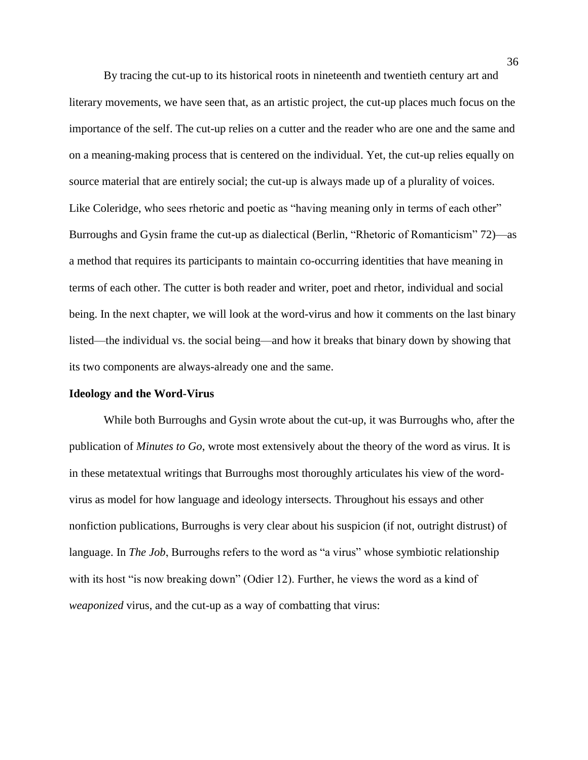By tracing the cut-up to its historical roots in nineteenth and twentieth century art and literary movements, we have seen that, as an artistic project, the cut-up places much focus on the importance of the self. The cut-up relies on a cutter and the reader who are one and the same and on a meaning-making process that is centered on the individual. Yet, the cut-up relies equally on source material that are entirely social; the cut-up is always made up of a plurality of voices. Like Coleridge, who sees rhetoric and poetic as "having meaning only in terms of each other" Burroughs and Gysin frame the cut-up as dialectical (Berlin, "Rhetoric of Romanticism" 72)—as a method that requires its participants to maintain co-occurring identities that have meaning in terms of each other. The cutter is both reader and writer, poet and rhetor, individual and social being. In the next chapter, we will look at the word-virus and how it comments on the last binary listed—the individual vs. the social being—and how it breaks that binary down by showing that its two components are always-already one and the same.

#### **Ideology and the Word-Virus**

While both Burroughs and Gysin wrote about the cut-up, it was Burroughs who, after the publication of *Minutes to Go*, wrote most extensively about the theory of the word as virus. It is in these metatextual writings that Burroughs most thoroughly articulates his view of the wordvirus as model for how language and ideology intersects. Throughout his essays and other nonfiction publications, Burroughs is very clear about his suspicion (if not, outright distrust) of language. In *The Job*, Burroughs refers to the word as "a virus" whose symbiotic relationship with its host "is now breaking down" (Odier 12). Further, he views the word as a kind of *weaponized* virus, and the cut-up as a way of combatting that virus: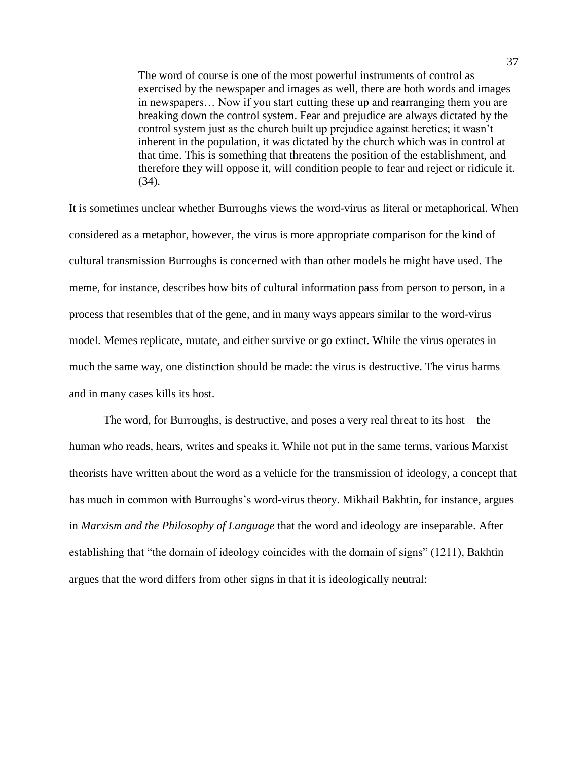The word of course is one of the most powerful instruments of control as exercised by the newspaper and images as well, there are both words and images in newspapers… Now if you start cutting these up and rearranging them you are breaking down the control system. Fear and prejudice are always dictated by the control system just as the church built up prejudice against heretics; it wasn't inherent in the population, it was dictated by the church which was in control at that time. This is something that threatens the position of the establishment, and therefore they will oppose it, will condition people to fear and reject or ridicule it. (34).

It is sometimes unclear whether Burroughs views the word-virus as literal or metaphorical. When considered as a metaphor, however, the virus is more appropriate comparison for the kind of cultural transmission Burroughs is concerned with than other models he might have used. The meme, for instance, describes how bits of cultural information pass from person to person, in a process that resembles that of the gene, and in many ways appears similar to the word-virus model. Memes replicate, mutate, and either survive or go extinct. While the virus operates in much the same way, one distinction should be made: the virus is destructive. The virus harms and in many cases kills its host.

The word, for Burroughs, is destructive, and poses a very real threat to its host—the human who reads, hears, writes and speaks it. While not put in the same terms, various Marxist theorists have written about the word as a vehicle for the transmission of ideology, a concept that has much in common with Burroughs's word-virus theory. Mikhail Bakhtin, for instance, argues in *Marxism and the Philosophy of Language* that the word and ideology are inseparable. After establishing that "the domain of ideology coincides with the domain of signs" (1211), Bakhtin argues that the word differs from other signs in that it is ideologically neutral: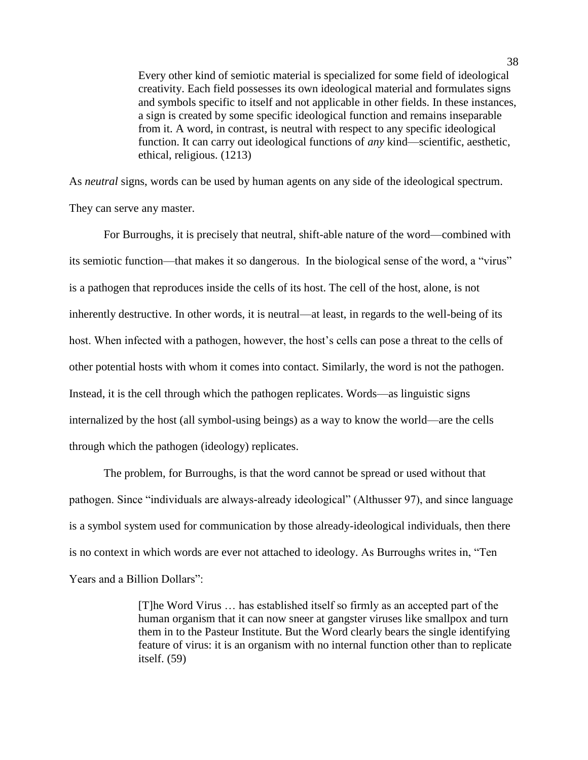Every other kind of semiotic material is specialized for some field of ideological creativity. Each field possesses its own ideological material and formulates signs and symbols specific to itself and not applicable in other fields. In these instances, a sign is created by some specific ideological function and remains inseparable from it. A word, in contrast, is neutral with respect to any specific ideological function. It can carry out ideological functions of *any* kind—scientific, aesthetic, ethical, religious. (1213)

As *neutral* signs, words can be used by human agents on any side of the ideological spectrum. They can serve any master.

For Burroughs, it is precisely that neutral, shift-able nature of the word—combined with its semiotic function—that makes it so dangerous. In the biological sense of the word, a "virus" is a pathogen that reproduces inside the cells of its host. The cell of the host, alone, is not inherently destructive. In other words, it is neutral—at least, in regards to the well-being of its host. When infected with a pathogen, however, the host's cells can pose a threat to the cells of other potential hosts with whom it comes into contact. Similarly, the word is not the pathogen. Instead, it is the cell through which the pathogen replicates. Words—as linguistic signs internalized by the host (all symbol-using beings) as a way to know the world—are the cells through which the pathogen (ideology) replicates.

The problem, for Burroughs, is that the word cannot be spread or used without that pathogen. Since "individuals are always-already ideological" (Althusser 97), and since language is a symbol system used for communication by those already-ideological individuals, then there is no context in which words are ever not attached to ideology. As Burroughs writes in, "Ten Years and a Billion Dollars":

> [T]he Word Virus … has established itself so firmly as an accepted part of the human organism that it can now sneer at gangster viruses like smallpox and turn them in to the Pasteur Institute. But the Word clearly bears the single identifying feature of virus: it is an organism with no internal function other than to replicate itself. (59)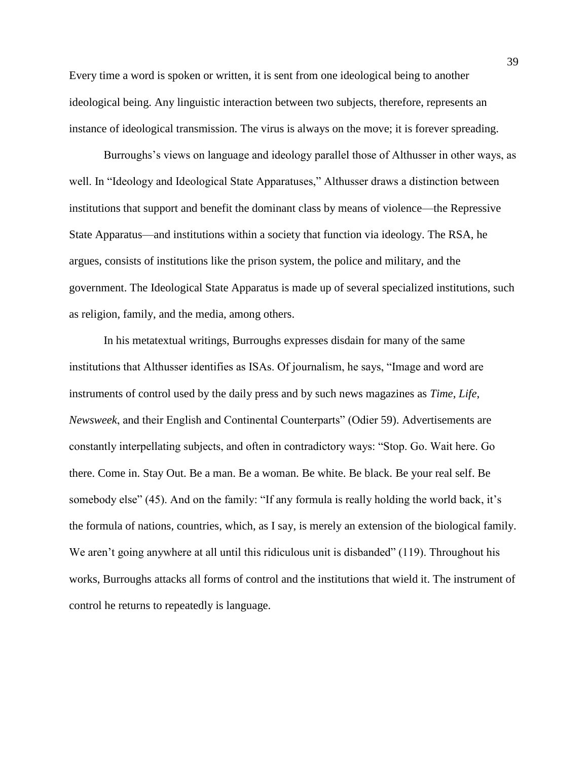Every time a word is spoken or written, it is sent from one ideological being to another ideological being. Any linguistic interaction between two subjects, therefore, represents an instance of ideological transmission. The virus is always on the move; it is forever spreading.

Burroughs's views on language and ideology parallel those of Althusser in other ways, as well. In "Ideology and Ideological State Apparatuses," Althusser draws a distinction between institutions that support and benefit the dominant class by means of violence—the Repressive State Apparatus—and institutions within a society that function via ideology. The RSA, he argues, consists of institutions like the prison system, the police and military, and the government. The Ideological State Apparatus is made up of several specialized institutions, such as religion, family, and the media, among others.

In his metatextual writings, Burroughs expresses disdain for many of the same institutions that Althusser identifies as ISAs. Of journalism, he says, "Image and word are instruments of control used by the daily press and by such news magazines as *Time*, *Life*, *Newsweek*, and their English and Continental Counterparts" (Odier 59). Advertisements are constantly interpellating subjects, and often in contradictory ways: "Stop. Go. Wait here. Go there. Come in. Stay Out. Be a man. Be a woman. Be white. Be black. Be your real self. Be somebody else" (45). And on the family: "If any formula is really holding the world back, it's the formula of nations, countries, which, as I say, is merely an extension of the biological family. We aren't going anywhere at all until this ridiculous unit is disbanded" (119). Throughout his works, Burroughs attacks all forms of control and the institutions that wield it. The instrument of control he returns to repeatedly is language.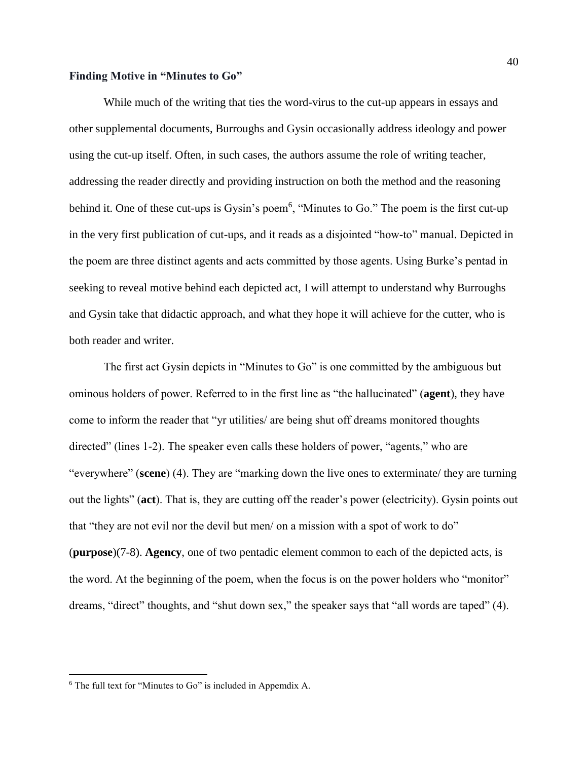## **Finding Motive in "Minutes to Go"**

While much of the writing that ties the word-virus to the cut-up appears in essays and other supplemental documents, Burroughs and Gysin occasionally address ideology and power using the cut-up itself. Often, in such cases, the authors assume the role of writing teacher, addressing the reader directly and providing instruction on both the method and the reasoning behind it. One of these cut-ups is Gysin's poem<sup>6</sup>, "Minutes to Go." The poem is the first cut-up in the very first publication of cut-ups, and it reads as a disjointed "how-to" manual. Depicted in the poem are three distinct agents and acts committed by those agents. Using Burke's pentad in seeking to reveal motive behind each depicted act, I will attempt to understand why Burroughs and Gysin take that didactic approach, and what they hope it will achieve for the cutter, who is both reader and writer.

The first act Gysin depicts in "Minutes to Go" is one committed by the ambiguous but ominous holders of power. Referred to in the first line as "the hallucinated" (**agent**), they have come to inform the reader that "yr utilities/ are being shut off dreams monitored thoughts directed" (lines 1-2). The speaker even calls these holders of power, "agents," who are "everywhere" (**scene**) (4). They are "marking down the live ones to exterminate/ they are turning out the lights" (**act**). That is, they are cutting off the reader's power (electricity). Gysin points out that "they are not evil nor the devil but men/ on a mission with a spot of work to do" (**purpose**)(7-8). **Agency**, one of two pentadic element common to each of the depicted acts, is the word. At the beginning of the poem, when the focus is on the power holders who "monitor" dreams, "direct" thoughts, and "shut down sex," the speaker says that "all words are taped" (4).

 $\overline{a}$ 

<sup>6</sup> The full text for "Minutes to Go" is included in Appemdix A.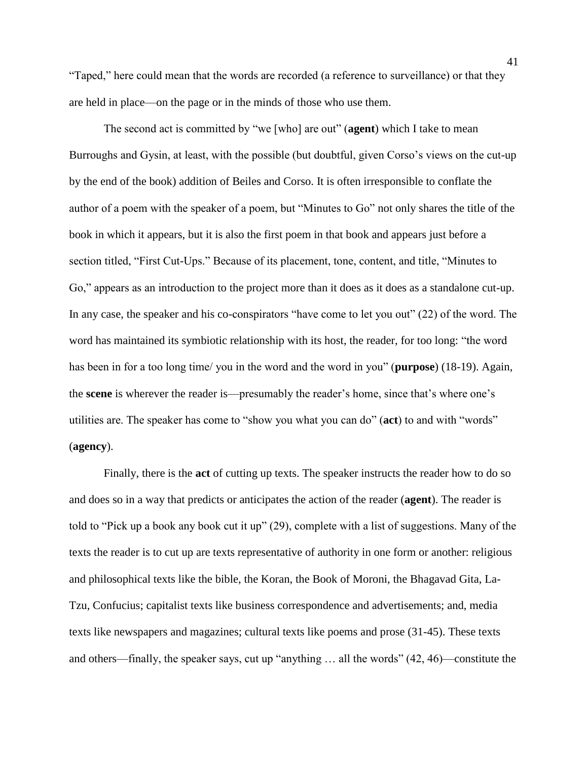"Taped," here could mean that the words are recorded (a reference to surveillance) or that they are held in place—on the page or in the minds of those who use them.

The second act is committed by "we [who] are out" (**agent**) which I take to mean Burroughs and Gysin, at least, with the possible (but doubtful, given Corso's views on the cut-up by the end of the book) addition of Beiles and Corso. It is often irresponsible to conflate the author of a poem with the speaker of a poem, but "Minutes to Go" not only shares the title of the book in which it appears, but it is also the first poem in that book and appears just before a section titled, "First Cut-Ups." Because of its placement, tone, content, and title, "Minutes to Go," appears as an introduction to the project more than it does as it does as a standalone cut-up. In any case, the speaker and his co-conspirators "have come to let you out" (22) of the word. The word has maintained its symbiotic relationship with its host, the reader, for too long: "the word has been in for a too long time/ you in the word and the word in you" (**purpose**) (18-19). Again, the **scene** is wherever the reader is—presumably the reader's home, since that's where one's utilities are. The speaker has come to "show you what you can do" (**act**) to and with "words" (**agency**).

Finally, there is the **act** of cutting up texts. The speaker instructs the reader how to do so and does so in a way that predicts or anticipates the action of the reader (**agent**). The reader is told to "Pick up a book any book cut it up" (29), complete with a list of suggestions. Many of the texts the reader is to cut up are texts representative of authority in one form or another: religious and philosophical texts like the bible, the Koran, the Book of Moroni, the Bhagavad Gita, La-Tzu, Confucius; capitalist texts like business correspondence and advertisements; and, media texts like newspapers and magazines; cultural texts like poems and prose (31-45). These texts and others—finally, the speaker says, cut up "anything … all the words" (42, 46)—constitute the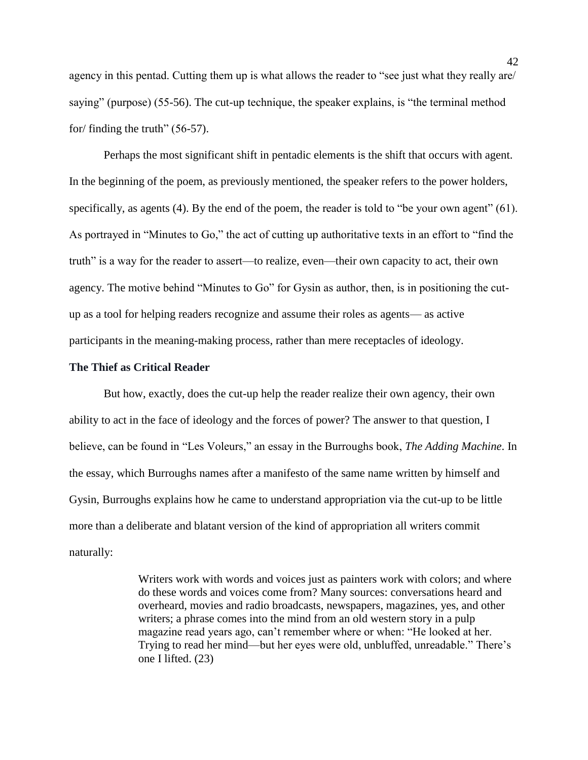agency in this pentad. Cutting them up is what allows the reader to "see just what they really are/ saying" (purpose) (55-56). The cut-up technique, the speaker explains, is "the terminal method for/ finding the truth" (56-57).

Perhaps the most significant shift in pentadic elements is the shift that occurs with agent. In the beginning of the poem, as previously mentioned, the speaker refers to the power holders, specifically, as agents (4). By the end of the poem, the reader is told to "be your own agent" (61). As portrayed in "Minutes to Go," the act of cutting up authoritative texts in an effort to "find the truth" is a way for the reader to assert—to realize, even—their own capacity to act, their own agency. The motive behind "Minutes to Go" for Gysin as author, then, is in positioning the cutup as a tool for helping readers recognize and assume their roles as agents— as active participants in the meaning-making process, rather than mere receptacles of ideology.

### **The Thief as Critical Reader**

But how, exactly, does the cut-up help the reader realize their own agency, their own ability to act in the face of ideology and the forces of power? The answer to that question, I believe, can be found in "Les Voleurs," an essay in the Burroughs book, *The Adding Machine*. In the essay, which Burroughs names after a manifesto of the same name written by himself and Gysin, Burroughs explains how he came to understand appropriation via the cut-up to be little more than a deliberate and blatant version of the kind of appropriation all writers commit naturally:

> Writers work with words and voices just as painters work with colors; and where do these words and voices come from? Many sources: conversations heard and overheard, movies and radio broadcasts, newspapers, magazines, yes, and other writers; a phrase comes into the mind from an old western story in a pulp magazine read years ago, can't remember where or when: "He looked at her. Trying to read her mind—but her eyes were old, unbluffed, unreadable." There's one I lifted. (23)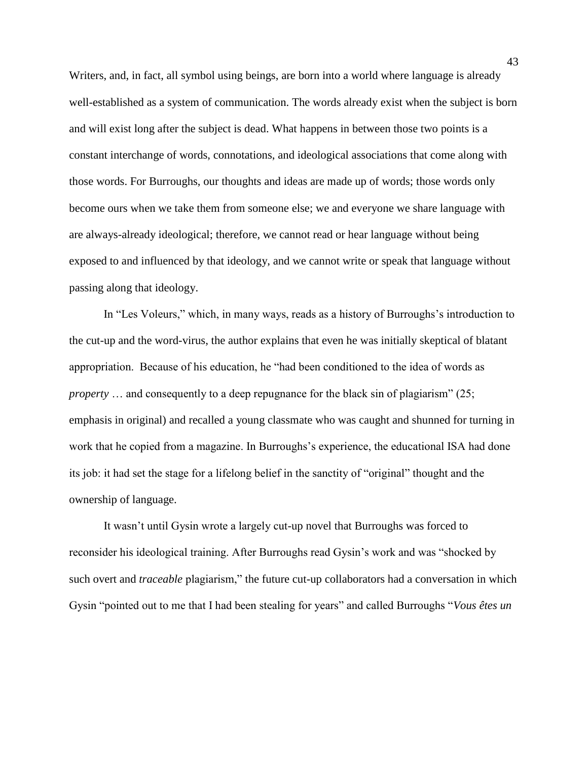Writers, and, in fact, all symbol using beings, are born into a world where language is already well-established as a system of communication. The words already exist when the subject is born and will exist long after the subject is dead. What happens in between those two points is a constant interchange of words, connotations, and ideological associations that come along with those words. For Burroughs, our thoughts and ideas are made up of words; those words only become ours when we take them from someone else; we and everyone we share language with are always-already ideological; therefore, we cannot read or hear language without being exposed to and influenced by that ideology, and we cannot write or speak that language without passing along that ideology.

In "Les Voleurs," which, in many ways, reads as a history of Burroughs's introduction to the cut-up and the word-virus, the author explains that even he was initially skeptical of blatant appropriation. Because of his education, he "had been conditioned to the idea of words as *property* ... and consequently to a deep repugnance for the black sin of plagiarism" (25; emphasis in original) and recalled a young classmate who was caught and shunned for turning in work that he copied from a magazine. In Burroughs's experience, the educational ISA had done its job: it had set the stage for a lifelong belief in the sanctity of "original" thought and the ownership of language.

It wasn't until Gysin wrote a largely cut-up novel that Burroughs was forced to reconsider his ideological training. After Burroughs read Gysin's work and was "shocked by such overt and *traceable* plagiarism," the future cut-up collaborators had a conversation in which Gysin "pointed out to me that I had been stealing for years" and called Burroughs "*Vous êtes un*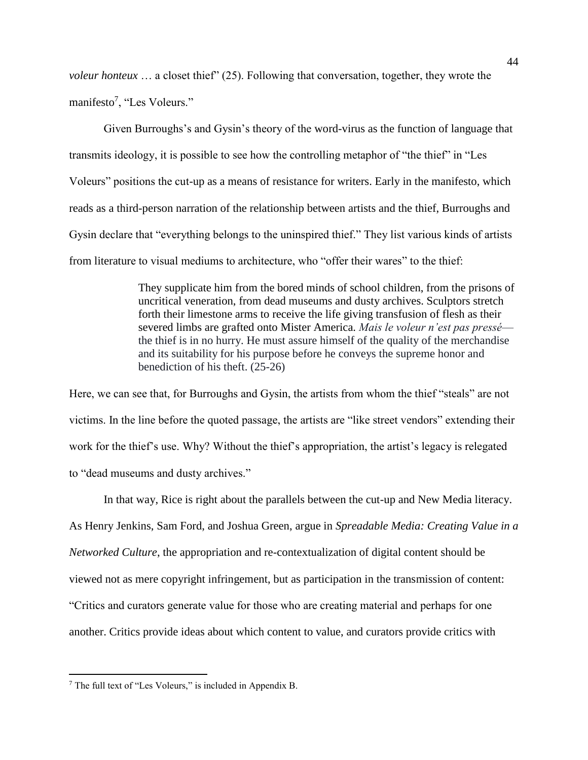*voleur honteux* ... a closet thief" (25). Following that conversation, together, they wrote the manifesto<sup>7</sup>, "Les Voleurs."

Given Burroughs's and Gysin's theory of the word-virus as the function of language that transmits ideology, it is possible to see how the controlling metaphor of "the thief" in "Les Voleurs" positions the cut-up as a means of resistance for writers. Early in the manifesto, which reads as a third-person narration of the relationship between artists and the thief, Burroughs and Gysin declare that "everything belongs to the uninspired thief." They list various kinds of artists from literature to visual mediums to architecture, who "offer their wares" to the thief:

> They supplicate him from the bored minds of school children, from the prisons of uncritical veneration, from dead museums and dusty archives. Sculptors stretch forth their limestone arms to receive the life giving transfusion of flesh as their severed limbs are grafted onto Mister America. *Mais le voleur n'est pas pressé* the thief is in no hurry. He must assure himself of the quality of the merchandise and its suitability for his purpose before he conveys the supreme honor and benediction of his theft. (25-26)

Here, we can see that, for Burroughs and Gysin, the artists from whom the thief "steals" are not victims. In the line before the quoted passage, the artists are "like street vendors" extending their work for the thief's use. Why? Without the thief's appropriation, the artist's legacy is relegated to "dead museums and dusty archives."

In that way, Rice is right about the parallels between the cut-up and New Media literacy. As Henry Jenkins, Sam Ford, and Joshua Green, argue in *Spreadable Media: Creating Value in a Networked Culture*, the appropriation and re-contextualization of digital content should be viewed not as mere copyright infringement, but as participation in the transmission of content: "Critics and curators generate value for those who are creating material and perhaps for one another. Critics provide ideas about which content to value, and curators provide critics with

 $\overline{a}$ 

<sup>7</sup> The full text of "Les Voleurs," is included in Appendix B.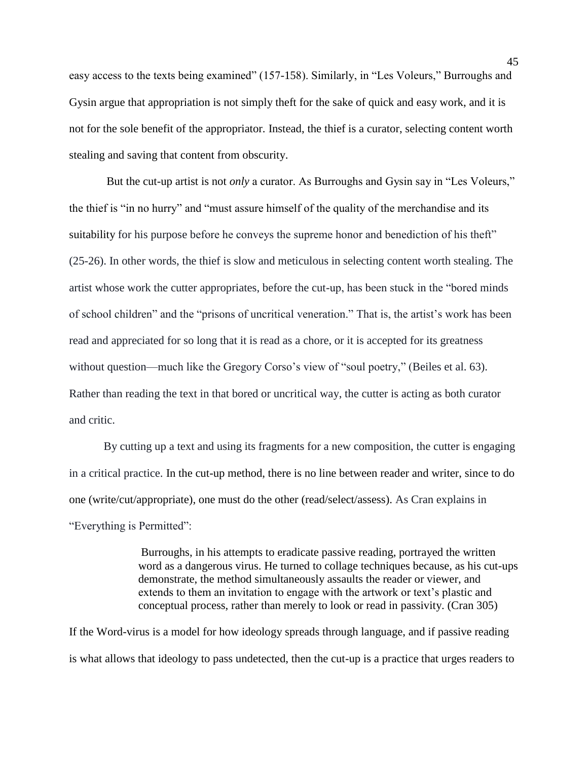easy access to the texts being examined" (157-158). Similarly, in "Les Voleurs," Burroughs and Gysin argue that appropriation is not simply theft for the sake of quick and easy work, and it is not for the sole benefit of the appropriator. Instead, the thief is a curator, selecting content worth stealing and saving that content from obscurity.

But the cut-up artist is not *only* a curator. As Burroughs and Gysin say in "Les Voleurs," the thief is "in no hurry" and "must assure himself of the quality of the merchandise and its suitability for his purpose before he conveys the supreme honor and benediction of his theft" (25-26). In other words, the thief is slow and meticulous in selecting content worth stealing. The artist whose work the cutter appropriates, before the cut-up, has been stuck in the "bored minds of school children" and the "prisons of uncritical veneration." That is, the artist's work has been read and appreciated for so long that it is read as a chore, or it is accepted for its greatness without question—much like the Gregory Corso's view of "soul poetry," (Beiles et al. 63). Rather than reading the text in that bored or uncritical way, the cutter is acting as both curator and critic.

By cutting up a text and using its fragments for a new composition, the cutter is engaging in a critical practice. In the cut-up method, there is no line between reader and writer, since to do one (write/cut/appropriate), one must do the other (read/select/assess). As Cran explains in "Everything is Permitted":

> Burroughs, in his attempts to eradicate passive reading, portrayed the written word as a dangerous virus. He turned to collage techniques because, as his cut-ups demonstrate, the method simultaneously assaults the reader or viewer, and extends to them an invitation to engage with the artwork or text's plastic and conceptual process, rather than merely to look or read in passivity. (Cran 305)

If the Word-virus is a model for how ideology spreads through language, and if passive reading is what allows that ideology to pass undetected, then the cut-up is a practice that urges readers to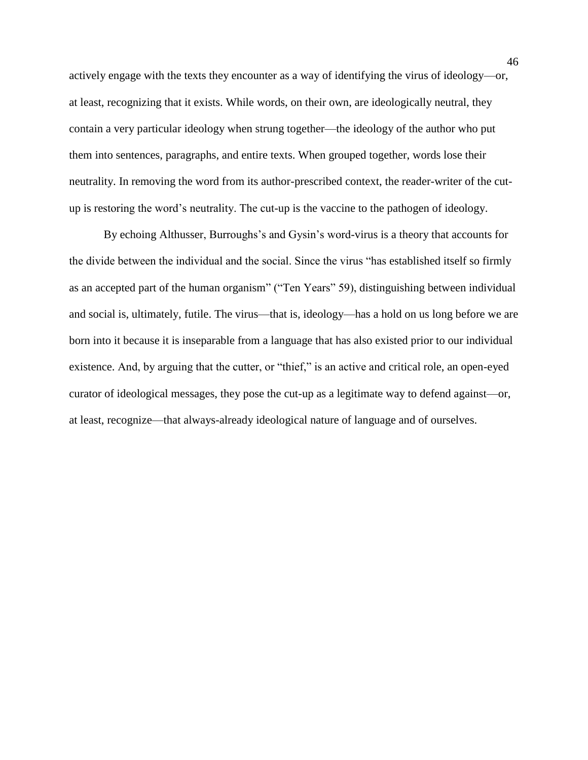actively engage with the texts they encounter as a way of identifying the virus of ideology—or, at least, recognizing that it exists. While words, on their own, are ideologically neutral, they contain a very particular ideology when strung together—the ideology of the author who put them into sentences, paragraphs, and entire texts. When grouped together, words lose their neutrality. In removing the word from its author-prescribed context, the reader-writer of the cutup is restoring the word's neutrality. The cut-up is the vaccine to the pathogen of ideology.

By echoing Althusser, Burroughs's and Gysin's word-virus is a theory that accounts for the divide between the individual and the social. Since the virus "has established itself so firmly as an accepted part of the human organism" ("Ten Years" 59), distinguishing between individual and social is, ultimately, futile. The virus—that is, ideology—has a hold on us long before we are born into it because it is inseparable from a language that has also existed prior to our individual existence. And, by arguing that the cutter, or "thief," is an active and critical role, an open-eyed curator of ideological messages, they pose the cut-up as a legitimate way to defend against—or, at least, recognize—that always-already ideological nature of language and of ourselves.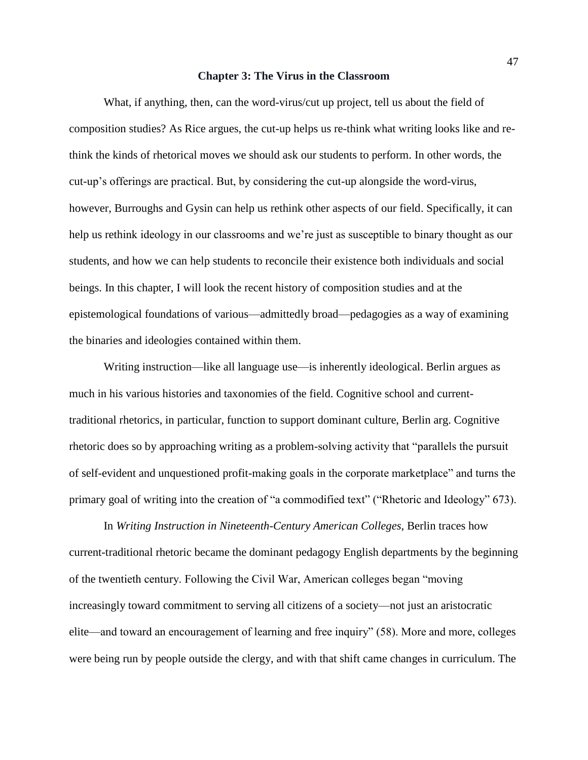#### **Chapter 3: The Virus in the Classroom**

What, if anything, then, can the word-virus/cut up project, tell us about the field of composition studies? As Rice argues, the cut-up helps us re-think what writing looks like and rethink the kinds of rhetorical moves we should ask our students to perform. In other words, the cut-up's offerings are practical. But, by considering the cut-up alongside the word-virus, however, Burroughs and Gysin can help us rethink other aspects of our field. Specifically, it can help us rethink ideology in our classrooms and we're just as susceptible to binary thought as our students, and how we can help students to reconcile their existence both individuals and social beings. In this chapter, I will look the recent history of composition studies and at the epistemological foundations of various—admittedly broad—pedagogies as a way of examining the binaries and ideologies contained within them.

Writing instruction—like all language use—is inherently ideological. Berlin argues as much in his various histories and taxonomies of the field. Cognitive school and currenttraditional rhetorics, in particular, function to support dominant culture, Berlin arg. Cognitive rhetoric does so by approaching writing as a problem-solving activity that "parallels the pursuit of self-evident and unquestioned profit-making goals in the corporate marketplace" and turns the primary goal of writing into the creation of "a commodified text" ("Rhetoric and Ideology" 673).

In *Writing Instruction in Nineteenth-Century American Colleges*, Berlin traces how current-traditional rhetoric became the dominant pedagogy English departments by the beginning of the twentieth century. Following the Civil War, American colleges began "moving increasingly toward commitment to serving all citizens of a society—not just an aristocratic elite—and toward an encouragement of learning and free inquiry" (58). More and more, colleges were being run by people outside the clergy, and with that shift came changes in curriculum. The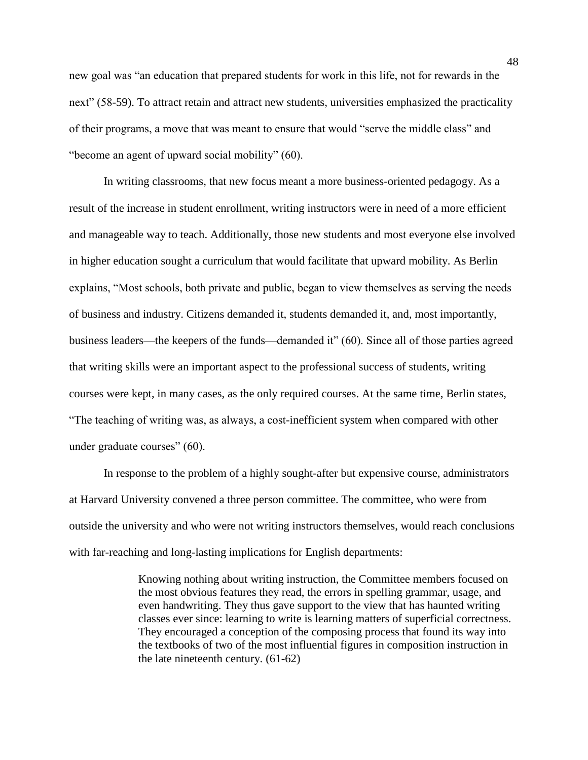new goal was "an education that prepared students for work in this life, not for rewards in the next" (58-59). To attract retain and attract new students, universities emphasized the practicality of their programs, a move that was meant to ensure that would "serve the middle class" and "become an agent of upward social mobility" (60).

In writing classrooms, that new focus meant a more business-oriented pedagogy. As a result of the increase in student enrollment, writing instructors were in need of a more efficient and manageable way to teach. Additionally, those new students and most everyone else involved in higher education sought a curriculum that would facilitate that upward mobility. As Berlin explains, "Most schools, both private and public, began to view themselves as serving the needs of business and industry. Citizens demanded it, students demanded it, and, most importantly, business leaders—the keepers of the funds—demanded it" (60). Since all of those parties agreed that writing skills were an important aspect to the professional success of students, writing courses were kept, in many cases, as the only required courses. At the same time, Berlin states, "The teaching of writing was, as always, a cost-inefficient system when compared with other under graduate courses" (60).

In response to the problem of a highly sought-after but expensive course, administrators at Harvard University convened a three person committee. The committee, who were from outside the university and who were not writing instructors themselves, would reach conclusions with far-reaching and long-lasting implications for English departments:

> Knowing nothing about writing instruction, the Committee members focused on the most obvious features they read, the errors in spelling grammar, usage, and even handwriting. They thus gave support to the view that has haunted writing classes ever since: learning to write is learning matters of superficial correctness. They encouraged a conception of the composing process that found its way into the textbooks of two of the most influential figures in composition instruction in the late nineteenth century. (61-62)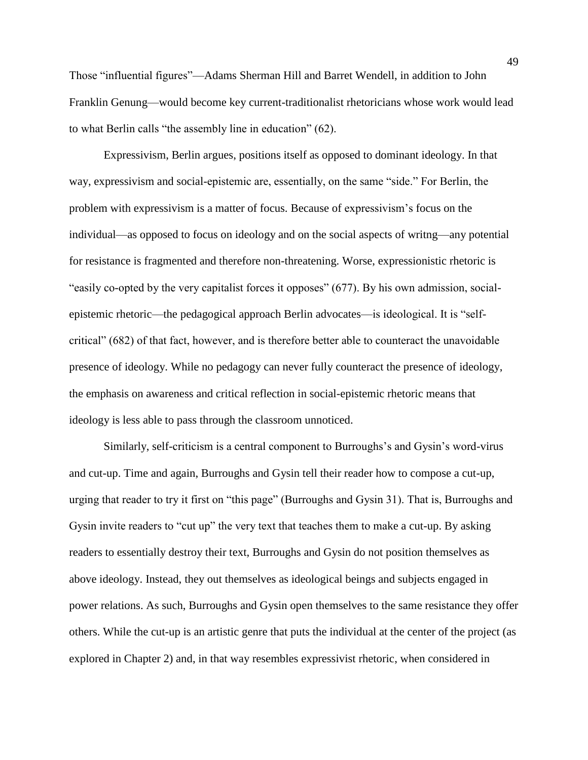Those "influential figures"—Adams Sherman Hill and Barret Wendell, in addition to John Franklin Genung—would become key current-traditionalist rhetoricians whose work would lead to what Berlin calls "the assembly line in education" (62).

Expressivism, Berlin argues, positions itself as opposed to dominant ideology. In that way, expressivism and social-epistemic are, essentially, on the same "side." For Berlin, the problem with expressivism is a matter of focus. Because of expressivism's focus on the individual—as opposed to focus on ideology and on the social aspects of writng—any potential for resistance is fragmented and therefore non-threatening. Worse, expressionistic rhetoric is "easily co-opted by the very capitalist forces it opposes" (677). By his own admission, socialepistemic rhetoric—the pedagogical approach Berlin advocates—is ideological. It is "selfcritical" (682) of that fact, however, and is therefore better able to counteract the unavoidable presence of ideology. While no pedagogy can never fully counteract the presence of ideology, the emphasis on awareness and critical reflection in social-epistemic rhetoric means that ideology is less able to pass through the classroom unnoticed.

Similarly, self-criticism is a central component to Burroughs's and Gysin's word-virus and cut-up. Time and again, Burroughs and Gysin tell their reader how to compose a cut-up, urging that reader to try it first on "this page" (Burroughs and Gysin 31). That is, Burroughs and Gysin invite readers to "cut up" the very text that teaches them to make a cut-up. By asking readers to essentially destroy their text, Burroughs and Gysin do not position themselves as above ideology. Instead, they out themselves as ideological beings and subjects engaged in power relations. As such, Burroughs and Gysin open themselves to the same resistance they offer others. While the cut-up is an artistic genre that puts the individual at the center of the project (as explored in Chapter 2) and, in that way resembles expressivist rhetoric, when considered in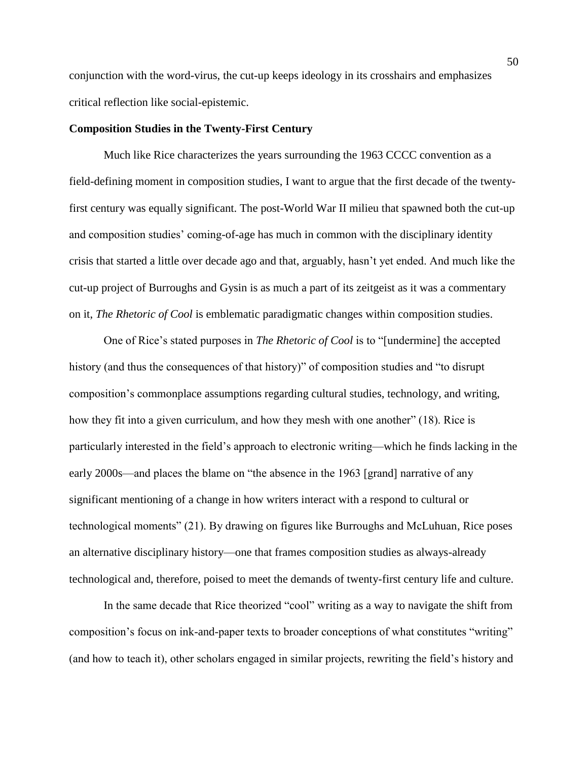conjunction with the word-virus, the cut-up keeps ideology in its crosshairs and emphasizes critical reflection like social-epistemic.

### **Composition Studies in the Twenty-First Century**

Much like Rice characterizes the years surrounding the 1963 CCCC convention as a field-defining moment in composition studies, I want to argue that the first decade of the twentyfirst century was equally significant. The post-World War II milieu that spawned both the cut-up and composition studies' coming-of-age has much in common with the disciplinary identity crisis that started a little over decade ago and that, arguably, hasn't yet ended. And much like the cut-up project of Burroughs and Gysin is as much a part of its zeitgeist as it was a commentary on it, *The Rhetoric of Cool* is emblematic paradigmatic changes within composition studies.

One of Rice's stated purposes in *The Rhetoric of Cool* is to "[undermine] the accepted history (and thus the consequences of that history)" of composition studies and "to disrupt composition's commonplace assumptions regarding cultural studies, technology, and writing, how they fit into a given curriculum, and how they mesh with one another" (18). Rice is particularly interested in the field's approach to electronic writing—which he finds lacking in the early 2000s—and places the blame on "the absence in the 1963 [grand] narrative of any significant mentioning of a change in how writers interact with a respond to cultural or technological moments" (21). By drawing on figures like Burroughs and McLuhuan, Rice poses an alternative disciplinary history—one that frames composition studies as always-already technological and, therefore, poised to meet the demands of twenty-first century life and culture.

In the same decade that Rice theorized "cool" writing as a way to navigate the shift from composition's focus on ink-and-paper texts to broader conceptions of what constitutes "writing" (and how to teach it), other scholars engaged in similar projects, rewriting the field's history and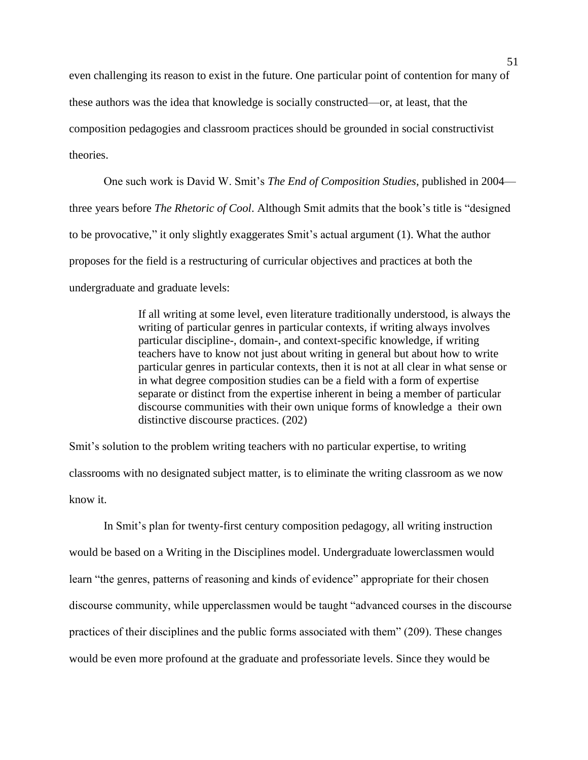even challenging its reason to exist in the future. One particular point of contention for many of these authors was the idea that knowledge is socially constructed—or, at least, that the composition pedagogies and classroom practices should be grounded in social constructivist theories.

One such work is David W. Smit's *The End of Composition Studies*, published in 2004 three years before *The Rhetoric of Cool*. Although Smit admits that the book's title is "designed to be provocative," it only slightly exaggerates Smit's actual argument (1). What the author proposes for the field is a restructuring of curricular objectives and practices at both the undergraduate and graduate levels:

> If all writing at some level, even literature traditionally understood, is always the writing of particular genres in particular contexts, if writing always involves particular discipline-, domain-, and context-specific knowledge, if writing teachers have to know not just about writing in general but about how to write particular genres in particular contexts, then it is not at all clear in what sense or in what degree composition studies can be a field with a form of expertise separate or distinct from the expertise inherent in being a member of particular discourse communities with their own unique forms of knowledge a their own distinctive discourse practices. (202)

Smit's solution to the problem writing teachers with no particular expertise, to writing classrooms with no designated subject matter, is to eliminate the writing classroom as we now know it.

In Smit's plan for twenty-first century composition pedagogy, all writing instruction would be based on a Writing in the Disciplines model. Undergraduate lowerclassmen would learn "the genres, patterns of reasoning and kinds of evidence" appropriate for their chosen discourse community, while upperclassmen would be taught "advanced courses in the discourse practices of their disciplines and the public forms associated with them" (209). These changes would be even more profound at the graduate and professoriate levels. Since they would be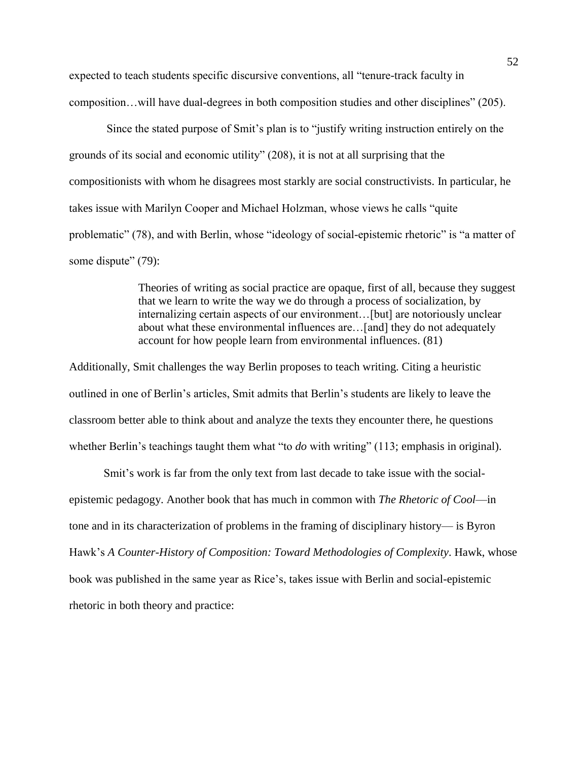expected to teach students specific discursive conventions, all "tenure-track faculty in composition…will have dual-degrees in both composition studies and other disciplines" (205).

Since the stated purpose of Smit's plan is to "justify writing instruction entirely on the grounds of its social and economic utility" (208), it is not at all surprising that the compositionists with whom he disagrees most starkly are social constructivists. In particular, he takes issue with Marilyn Cooper and Michael Holzman, whose views he calls "quite problematic" (78), and with Berlin, whose "ideology of social-epistemic rhetoric" is "a matter of some dispute" (79):

> Theories of writing as social practice are opaque, first of all, because they suggest that we learn to write the way we do through a process of socialization, by internalizing certain aspects of our environment…[but] are notoriously unclear about what these environmental influences are…[and] they do not adequately account for how people learn from environmental influences. (81)

Additionally, Smit challenges the way Berlin proposes to teach writing. Citing a heuristic outlined in one of Berlin's articles, Smit admits that Berlin's students are likely to leave the classroom better able to think about and analyze the texts they encounter there, he questions whether Berlin's teachings taught them what "to *do* with writing" (113; emphasis in original).

Smit's work is far from the only text from last decade to take issue with the socialepistemic pedagogy. Another book that has much in common with *The Rhetoric of Cool*—in tone and in its characterization of problems in the framing of disciplinary history— is Byron Hawk's *A Counter-History of Composition: Toward Methodologies of Complexity*. Hawk, whose book was published in the same year as Rice's, takes issue with Berlin and social-epistemic rhetoric in both theory and practice: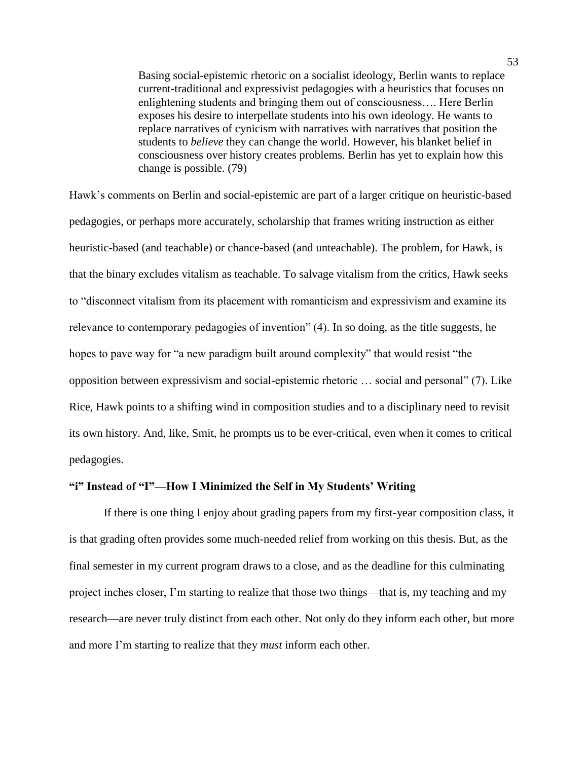Basing social-epistemic rhetoric on a socialist ideology, Berlin wants to replace current-traditional and expressivist pedagogies with a heuristics that focuses on enlightening students and bringing them out of consciousness…. Here Berlin exposes his desire to interpellate students into his own ideology. He wants to replace narratives of cynicism with narratives with narratives that position the students to *believe* they can change the world. However, his blanket belief in consciousness over history creates problems. Berlin has yet to explain how this change is possible. (79)

Hawk's comments on Berlin and social-epistemic are part of a larger critique on heuristic-based pedagogies, or perhaps more accurately, scholarship that frames writing instruction as either heuristic-based (and teachable) or chance-based (and unteachable). The problem, for Hawk, is that the binary excludes vitalism as teachable. To salvage vitalism from the critics, Hawk seeks to "disconnect vitalism from its placement with romanticism and expressivism and examine its relevance to contemporary pedagogies of invention" (4). In so doing, as the title suggests, he hopes to pave way for "a new paradigm built around complexity" that would resist "the opposition between expressivism and social-epistemic rhetoric … social and personal" (7). Like Rice, Hawk points to a shifting wind in composition studies and to a disciplinary need to revisit its own history. And, like, Smit, he prompts us to be ever-critical, even when it comes to critical pedagogies.

# **"i" Instead of "I"—How I Minimized the Self in My Students' Writing**

If there is one thing I enjoy about grading papers from my first-year composition class, it is that grading often provides some much-needed relief from working on this thesis. But, as the final semester in my current program draws to a close, and as the deadline for this culminating project inches closer, I'm starting to realize that those two things—that is, my teaching and my research—are never truly distinct from each other. Not only do they inform each other, but more and more I'm starting to realize that they *must* inform each other.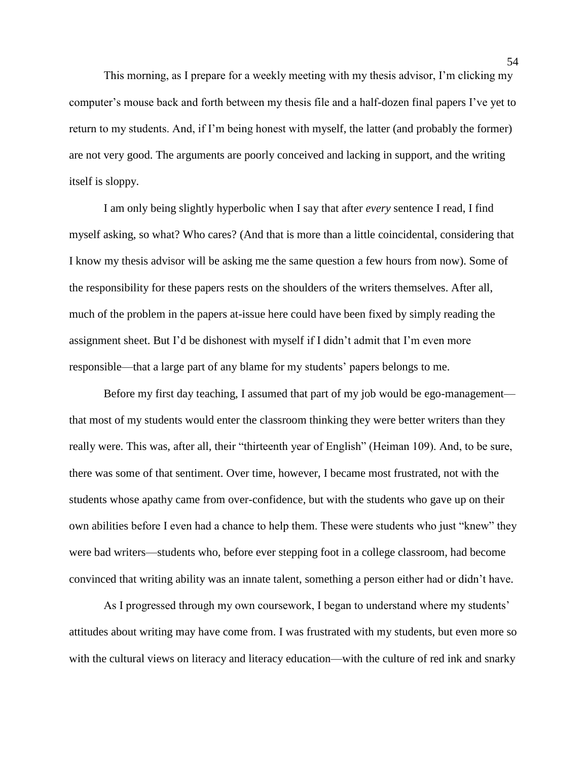This morning, as I prepare for a weekly meeting with my thesis advisor, I'm clicking my computer's mouse back and forth between my thesis file and a half-dozen final papers I've yet to return to my students. And, if I'm being honest with myself, the latter (and probably the former) are not very good. The arguments are poorly conceived and lacking in support, and the writing itself is sloppy.

I am only being slightly hyperbolic when I say that after *every* sentence I read, I find myself asking, so what? Who cares? (And that is more than a little coincidental, considering that I know my thesis advisor will be asking me the same question a few hours from now). Some of the responsibility for these papers rests on the shoulders of the writers themselves. After all, much of the problem in the papers at-issue here could have been fixed by simply reading the assignment sheet. But I'd be dishonest with myself if I didn't admit that I'm even more responsible—that a large part of any blame for my students' papers belongs to me.

Before my first day teaching, I assumed that part of my job would be ego-management that most of my students would enter the classroom thinking they were better writers than they really were. This was, after all, their "thirteenth year of English" (Heiman 109). And, to be sure, there was some of that sentiment. Over time, however, I became most frustrated, not with the students whose apathy came from over-confidence, but with the students who gave up on their own abilities before I even had a chance to help them. These were students who just "knew" they were bad writers—students who, before ever stepping foot in a college classroom, had become convinced that writing ability was an innate talent, something a person either had or didn't have.

As I progressed through my own coursework, I began to understand where my students' attitudes about writing may have come from. I was frustrated with my students, but even more so with the cultural views on literacy and literacy education—with the culture of red ink and snarky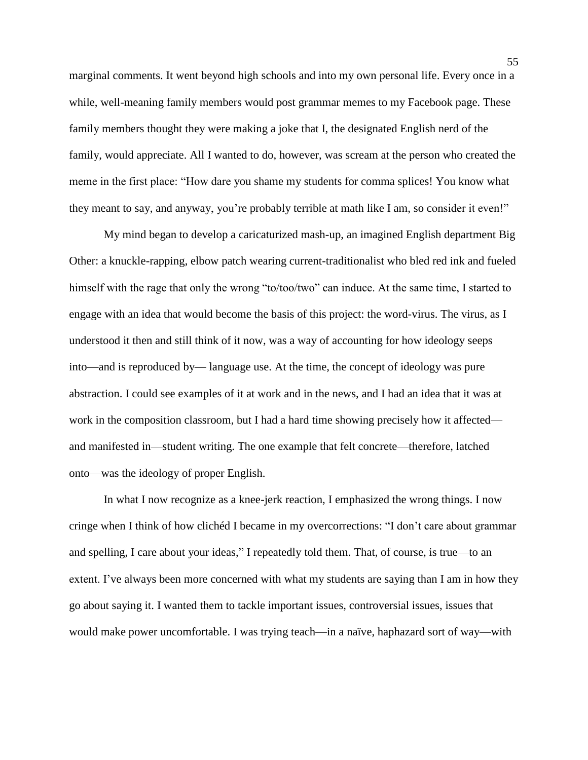marginal comments. It went beyond high schools and into my own personal life. Every once in a while, well-meaning family members would post grammar memes to my Facebook page. These family members thought they were making a joke that I, the designated English nerd of the family, would appreciate. All I wanted to do, however, was scream at the person who created the meme in the first place: "How dare you shame my students for comma splices! You know what they meant to say, and anyway, you're probably terrible at math like I am, so consider it even!"

My mind began to develop a caricaturized mash-up, an imagined English department Big Other: a knuckle-rapping, elbow patch wearing current-traditionalist who bled red ink and fueled himself with the rage that only the wrong "to/too/two" can induce. At the same time, I started to engage with an idea that would become the basis of this project: the word-virus. The virus, as I understood it then and still think of it now, was a way of accounting for how ideology seeps into—and is reproduced by— language use. At the time, the concept of ideology was pure abstraction. I could see examples of it at work and in the news, and I had an idea that it was at work in the composition classroom, but I had a hard time showing precisely how it affected and manifested in—student writing. The one example that felt concrete—therefore, latched onto—was the ideology of proper English.

In what I now recognize as a knee-jerk reaction, I emphasized the wrong things. I now cringe when I think of how clichéd I became in my overcorrections: "I don't care about grammar and spelling, I care about your ideas," I repeatedly told them. That, of course, is true—to an extent. I've always been more concerned with what my students are saying than I am in how they go about saying it. I wanted them to tackle important issues, controversial issues, issues that would make power uncomfortable. I was trying teach—in a naïve, haphazard sort of way—with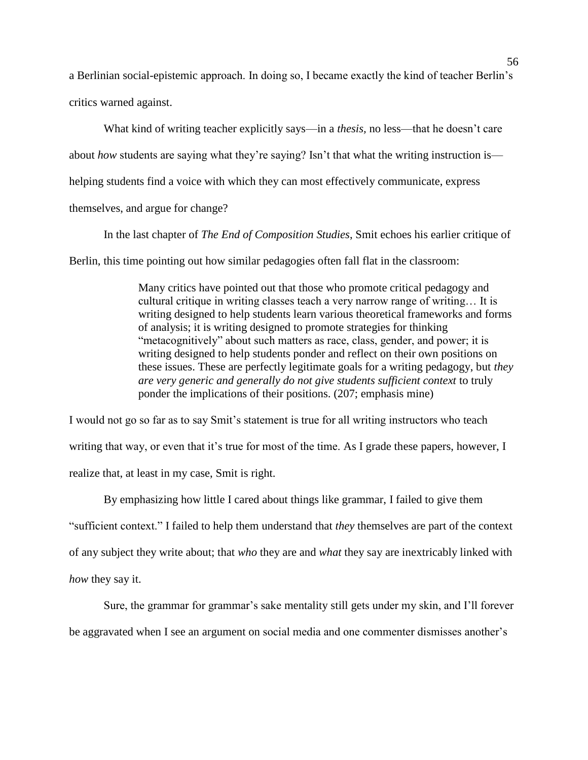a Berlinian social-epistemic approach. In doing so, I became exactly the kind of teacher Berlin's critics warned against.

What kind of writing teacher explicitly says—in a *thesis,* no less—that he doesn't care about *how* students are saying what they're saying? Isn't that what the writing instruction is helping students find a voice with which they can most effectively communicate, express themselves, and argue for change?

In the last chapter of *The End of Composition Studies*, Smit echoes his earlier critique of Berlin, this time pointing out how similar pedagogies often fall flat in the classroom:

> Many critics have pointed out that those who promote critical pedagogy and cultural critique in writing classes teach a very narrow range of writing… It is writing designed to help students learn various theoretical frameworks and forms of analysis; it is writing designed to promote strategies for thinking "metacognitively" about such matters as race, class, gender, and power; it is writing designed to help students ponder and reflect on their own positions on these issues. These are perfectly legitimate goals for a writing pedagogy, but *they are very generic and generally do not give students sufficient context* to truly ponder the implications of their positions. (207; emphasis mine)

I would not go so far as to say Smit's statement is true for all writing instructors who teach writing that way, or even that it's true for most of the time. As I grade these papers, however, I realize that, at least in my case, Smit is right.

By emphasizing how little I cared about things like grammar, I failed to give them "sufficient context." I failed to help them understand that *they* themselves are part of the context of any subject they write about; that *who* they are and *what* they say are inextricably linked with *how* they say it.

Sure, the grammar for grammar's sake mentality still gets under my skin, and I'll forever be aggravated when I see an argument on social media and one commenter dismisses another's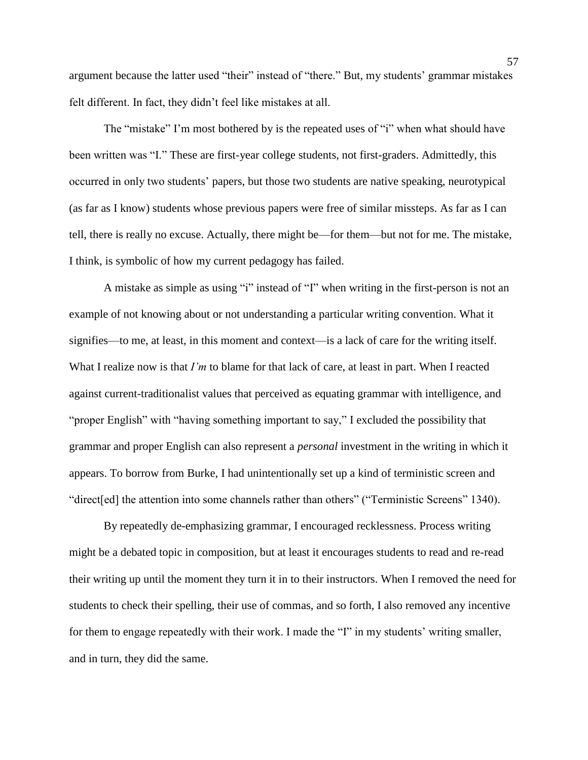argument because the latter used "their" instead of "there." But, my students' grammar mistakes felt different. In fact, they didn't feel like mistakes at all.

The "mistake" I'm most bothered by is the repeated uses of "i" when what should have been written was "I." These are first-year college students, not first-graders. Admittedly, this occurred in only two students' papers, but those two students are native speaking, neurotypical (as far as I know) students whose previous papers were free of similar missteps. As far as I can tell, there is really no excuse. Actually, there might be—for them—but not for me. The mistake, I think, is symbolic of how my current pedagogy has failed.

A mistake as simple as using "i" instead of "I" when writing in the first-person is not an example of not knowing about or not understanding a particular writing convention. What it signifies—to me, at least, in this moment and context—is a lack of care for the writing itself. What I realize now is that *I'm* to blame for that lack of care, at least in part. When I reacted against current-traditionalist values that perceived as equating grammar with intelligence, and "proper English" with "having something important to say," I excluded the possibility that grammar and proper English can also represent a *personal* investment in the writing in which it appears. To borrow from Burke, I had unintentionally set up a kind of terministic screen and "direct[ed] the attention into some channels rather than others" ("Terministic Screens" 1340).

By repeatedly de-emphasizing grammar, I encouraged recklessness. Process writing might be a debated topic in composition, but at least it encourages students to read and re-read their writing up until the moment they turn it in to their instructors. When I removed the need for students to check their spelling, their use of commas, and so forth, I also removed any incentive for them to engage repeatedly with their work. I made the "I" in my students' writing smaller, and in turn, they did the same.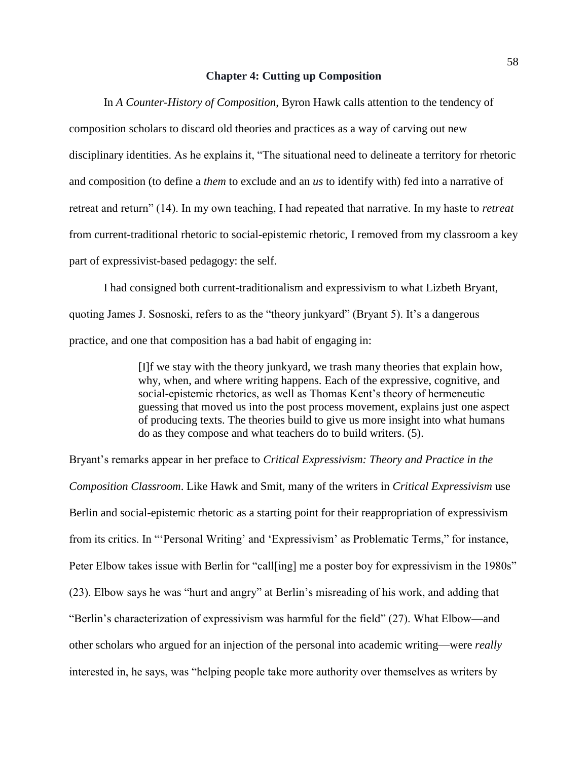#### **Chapter 4: Cutting up Composition**

In *A Counter-History of Composition*, Byron Hawk calls attention to the tendency of composition scholars to discard old theories and practices as a way of carving out new disciplinary identities. As he explains it, "The situational need to delineate a territory for rhetoric and composition (to define a *them* to exclude and an *us* to identify with) fed into a narrative of retreat and return" (14). In my own teaching, I had repeated that narrative. In my haste to *retreat* from current-traditional rhetoric to social-epistemic rhetoric, I removed from my classroom a key part of expressivist-based pedagogy: the self.

I had consigned both current-traditionalism and expressivism to what Lizbeth Bryant, quoting James J. Sosnoski, refers to as the "theory junkyard" (Bryant 5). It's a dangerous practice, and one that composition has a bad habit of engaging in:

> [I]f we stay with the theory junkyard, we trash many theories that explain how, why, when, and where writing happens. Each of the expressive, cognitive, and social-epistemic rhetorics, as well as Thomas Kent's theory of hermeneutic guessing that moved us into the post process movement, explains just one aspect of producing texts. The theories build to give us more insight into what humans do as they compose and what teachers do to build writers. (5).

Bryant's remarks appear in her preface to *Critical Expressivism: Theory and Practice in the Composition Classroom*. Like Hawk and Smit, many of the writers in *Critical Expressivism* use Berlin and social-epistemic rhetoric as a starting point for their reappropriation of expressivism from its critics. In "'Personal Writing' and 'Expressivism' as Problematic Terms," for instance, Peter Elbow takes issue with Berlin for "call [ing] me a poster boy for expressivism in the 1980s" (23). Elbow says he was "hurt and angry" at Berlin's misreading of his work, and adding that "Berlin's characterization of expressivism was harmful for the field" (27). What Elbow—and other scholars who argued for an injection of the personal into academic writing—were *really* interested in, he says, was "helping people take more authority over themselves as writers by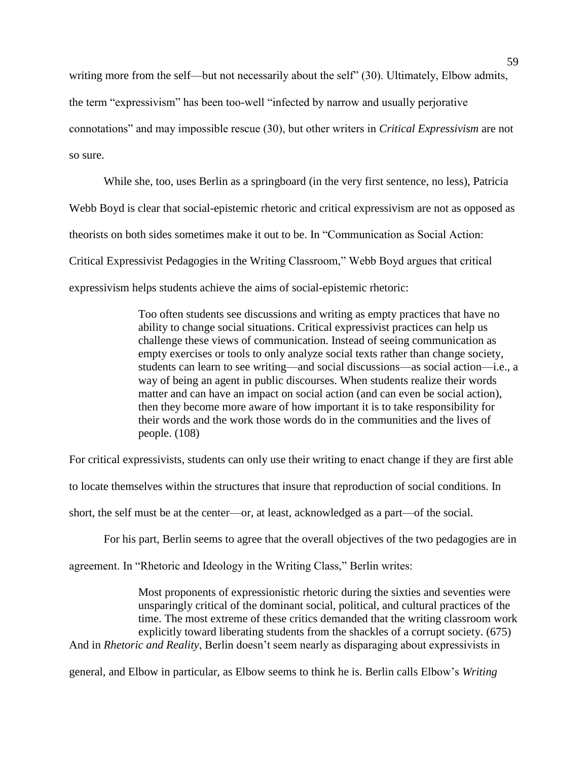writing more from the self—but not necessarily about the self" (30). Ultimately, Elbow admits, the term "expressivism" has been too-well "infected by narrow and usually perjorative connotations" and may impossible rescue (30), but other writers in *Critical Expressivism* are not so sure.

While she, too, uses Berlin as a springboard (in the very first sentence, no less), Patricia Webb Boyd is clear that social-epistemic rhetoric and critical expressivism are not as opposed as theorists on both sides sometimes make it out to be. In "Communication as Social Action: Critical Expressivist Pedagogies in the Writing Classroom," Webb Boyd argues that critical expressivism helps students achieve the aims of social-epistemic rhetoric:

> Too often students see discussions and writing as empty practices that have no ability to change social situations. Critical expressivist practices can help us challenge these views of communication. Instead of seeing communication as empty exercises or tools to only analyze social texts rather than change society, students can learn to see writing—and social discussions—as social action—i.e., a way of being an agent in public discourses. When students realize their words matter and can have an impact on social action (and can even be social action), then they become more aware of how important it is to take responsibility for their words and the work those words do in the communities and the lives of people. (108)

For critical expressivists, students can only use their writing to enact change if they are first able

to locate themselves within the structures that insure that reproduction of social conditions. In

short, the self must be at the center—or, at least, acknowledged as a part—of the social.

For his part, Berlin seems to agree that the overall objectives of the two pedagogies are in

agreement. In "Rhetoric and Ideology in the Writing Class," Berlin writes:

Most proponents of expressionistic rhetoric during the sixties and seventies were unsparingly critical of the dominant social, political, and cultural practices of the time. The most extreme of these critics demanded that the writing classroom work explicitly toward liberating students from the shackles of a corrupt society. (675) And in *Rhetoric and Reality*, Berlin doesn't seem nearly as disparaging about expressivists in

general, and Elbow in particular, as Elbow seems to think he is. Berlin calls Elbow's *Writing*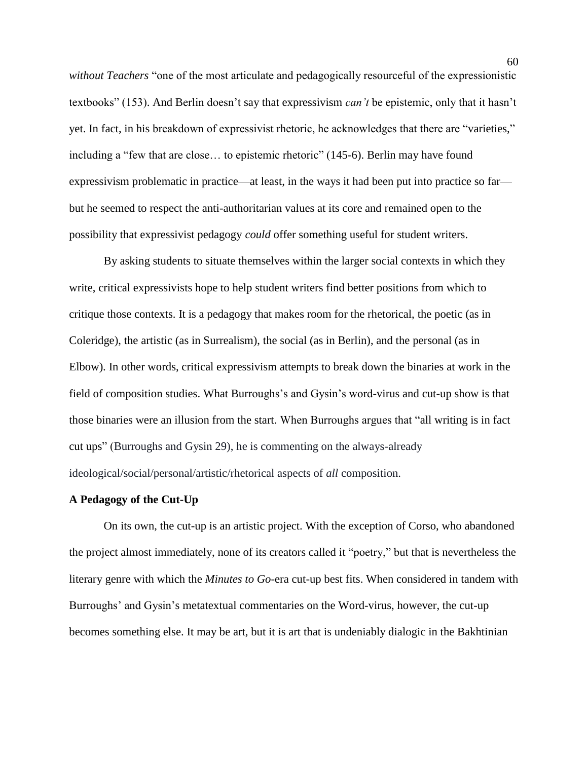*without Teachers* "one of the most articulate and pedagogically resourceful of the expressionistic textbooks" (153). And Berlin doesn't say that expressivism *can't* be epistemic, only that it hasn't yet. In fact, in his breakdown of expressivist rhetoric, he acknowledges that there are "varieties," including a "few that are close… to epistemic rhetoric" (145-6). Berlin may have found expressivism problematic in practice—at least, in the ways it had been put into practice so far but he seemed to respect the anti-authoritarian values at its core and remained open to the possibility that expressivist pedagogy *could* offer something useful for student writers.

By asking students to situate themselves within the larger social contexts in which they write, critical expressivists hope to help student writers find better positions from which to critique those contexts. It is a pedagogy that makes room for the rhetorical, the poetic (as in Coleridge), the artistic (as in Surrealism), the social (as in Berlin), and the personal (as in Elbow). In other words, critical expressivism attempts to break down the binaries at work in the field of composition studies. What Burroughs's and Gysin's word-virus and cut-up show is that those binaries were an illusion from the start. When Burroughs argues that "all writing is in fact cut ups" (Burroughs and Gysin 29), he is commenting on the always-already ideological/social/personal/artistic/rhetorical aspects of *all* composition.

### **A Pedagogy of the Cut-Up**

On its own, the cut-up is an artistic project. With the exception of Corso, who abandoned the project almost immediately, none of its creators called it "poetry," but that is nevertheless the literary genre with which the *Minutes to Go*-era cut-up best fits. When considered in tandem with Burroughs' and Gysin's metatextual commentaries on the Word-virus, however, the cut-up becomes something else. It may be art, but it is art that is undeniably dialogic in the Bakhtinian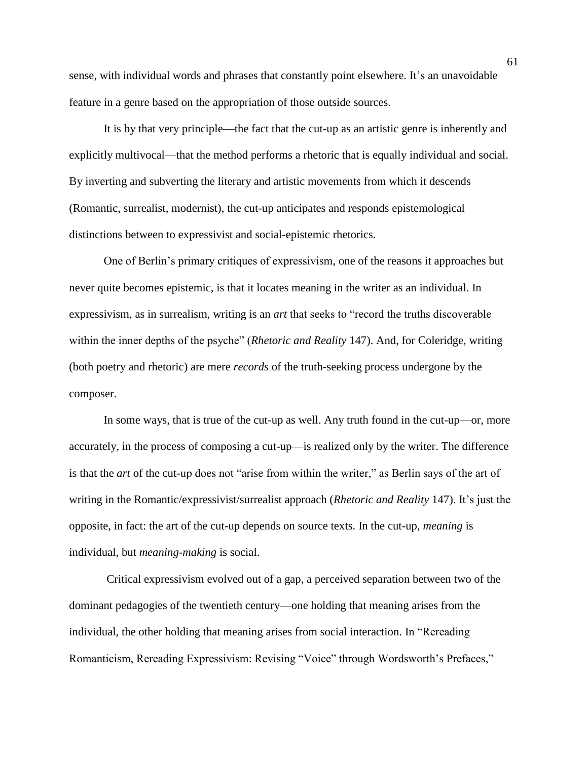sense, with individual words and phrases that constantly point elsewhere. It's an unavoidable feature in a genre based on the appropriation of those outside sources.

It is by that very principle—the fact that the cut-up as an artistic genre is inherently and explicitly multivocal—that the method performs a rhetoric that is equally individual and social. By inverting and subverting the literary and artistic movements from which it descends (Romantic, surrealist, modernist), the cut-up anticipates and responds epistemological distinctions between to expressivist and social-epistemic rhetorics.

One of Berlin's primary critiques of expressivism, one of the reasons it approaches but never quite becomes epistemic, is that it locates meaning in the writer as an individual. In expressivism, as in surrealism, writing is an *art* that seeks to "record the truths discoverable within the inner depths of the psyche" (*Rhetoric and Reality* 147). And, for Coleridge, writing (both poetry and rhetoric) are mere *records* of the truth-seeking process undergone by the composer.

In some ways, that is true of the cut-up as well. Any truth found in the cut-up—or, more accurately, in the process of composing a cut-up—is realized only by the writer. The difference is that the *art* of the cut-up does not "arise from within the writer," as Berlin says of the art of writing in the Romantic/expressivist/surrealist approach (*Rhetoric and Reality* 147). It's just the opposite, in fact: the art of the cut-up depends on source texts. In the cut-up, *meaning* is individual, but *meaning-making* is social.

Critical expressivism evolved out of a gap, a perceived separation between two of the dominant pedagogies of the twentieth century—one holding that meaning arises from the individual, the other holding that meaning arises from social interaction. In "Rereading Romanticism, Rereading Expressivism: Revising "Voice" through Wordsworth's Prefaces,"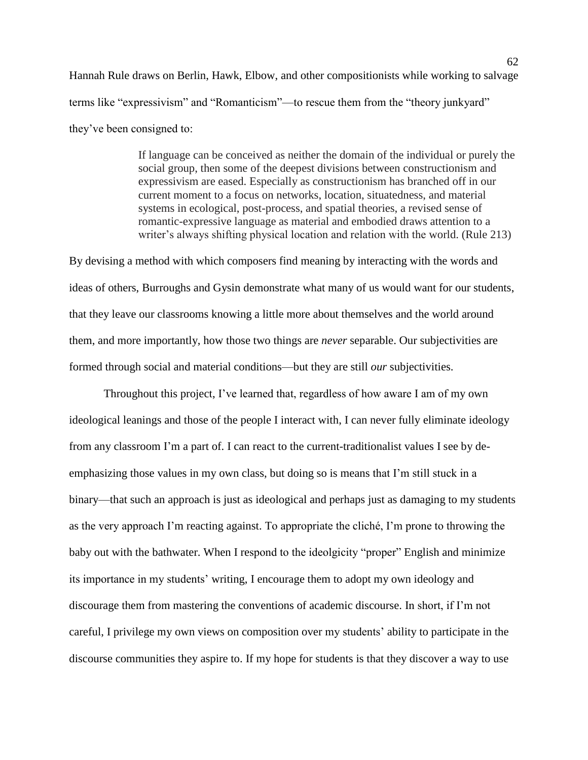Hannah Rule draws on Berlin, Hawk, Elbow, and other compositionists while working to salvage terms like "expressivism" and "Romanticism"—to rescue them from the "theory junkyard" they've been consigned to:

> If language can be conceived as neither the domain of the individual or purely the social group, then some of the deepest divisions between constructionism and expressivism are eased. Especially as constructionism has branched off in our current moment to a focus on networks, location, situatedness, and material systems in ecological, post-process, and spatial theories, a revised sense of romantic-expressive language as material and embodied draws attention to a writer's always shifting physical location and relation with the world. (Rule 213)

By devising a method with which composers find meaning by interacting with the words and ideas of others, Burroughs and Gysin demonstrate what many of us would want for our students, that they leave our classrooms knowing a little more about themselves and the world around them, and more importantly, how those two things are *never* separable. Our subjectivities are formed through social and material conditions—but they are still *our* subjectivities.

Throughout this project, I've learned that, regardless of how aware I am of my own ideological leanings and those of the people I interact with, I can never fully eliminate ideology from any classroom I'm a part of. I can react to the current-traditionalist values I see by deemphasizing those values in my own class, but doing so is means that I'm still stuck in a binary—that such an approach is just as ideological and perhaps just as damaging to my students as the very approach I'm reacting against. To appropriate the cliché, I'm prone to throwing the baby out with the bathwater. When I respond to the ideolgicity "proper" English and minimize its importance in my students' writing, I encourage them to adopt my own ideology and discourage them from mastering the conventions of academic discourse. In short, if I'm not careful, I privilege my own views on composition over my students' ability to participate in the discourse communities they aspire to. If my hope for students is that they discover a way to use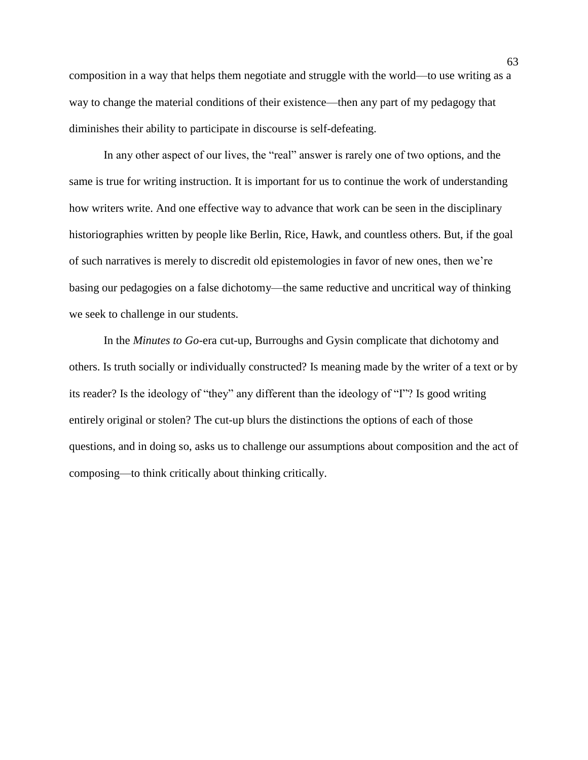composition in a way that helps them negotiate and struggle with the world—to use writing as a way to change the material conditions of their existence—then any part of my pedagogy that diminishes their ability to participate in discourse is self-defeating.

In any other aspect of our lives, the "real" answer is rarely one of two options, and the same is true for writing instruction. It is important for us to continue the work of understanding how writers write. And one effective way to advance that work can be seen in the disciplinary historiographies written by people like Berlin, Rice, Hawk, and countless others. But, if the goal of such narratives is merely to discredit old epistemologies in favor of new ones, then we're basing our pedagogies on a false dichotomy—the same reductive and uncritical way of thinking we seek to challenge in our students.

In the *Minutes to Go*-era cut-up, Burroughs and Gysin complicate that dichotomy and others. Is truth socially or individually constructed? Is meaning made by the writer of a text or by its reader? Is the ideology of "they" any different than the ideology of "I"? Is good writing entirely original or stolen? The cut-up blurs the distinctions the options of each of those questions, and in doing so, asks us to challenge our assumptions about composition and the act of composing—to think critically about thinking critically.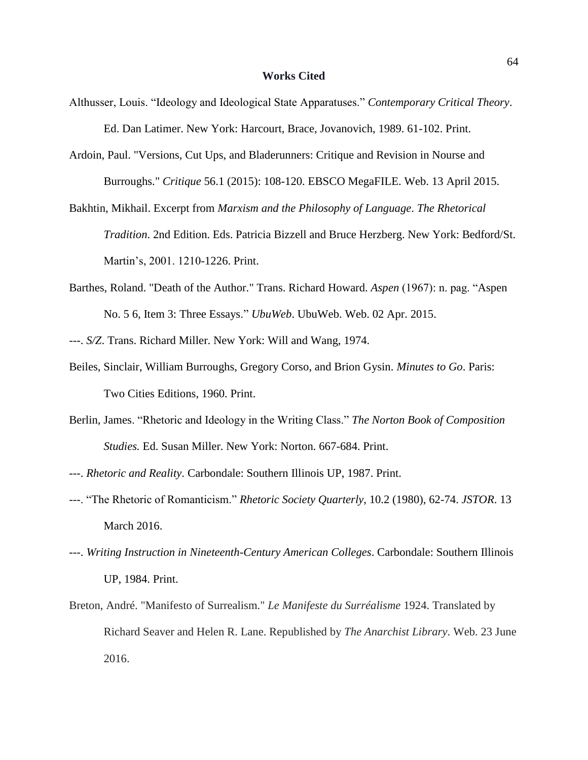- Althusser, Louis. "Ideology and Ideological State Apparatuses." *Contemporary Critical Theory*. Ed. Dan Latimer. New York: Harcourt, Brace, Jovanovich, 1989. 61-102. Print.
- Ardoin, Paul. "Versions, Cut Ups, and Bladerunners: Critique and Revision in Nourse and Burroughs." *Critique* 56.1 (2015): 108-120. EBSCO MegaFILE. Web. 13 April 2015.
- Bakhtin, Mikhail. Excerpt from *Marxism and the Philosophy of Language*. *The Rhetorical Tradition*. 2nd Edition. Eds. Patricia Bizzell and Bruce Herzberg. New York: Bedford/St. Martin's, 2001. 1210-1226. Print.
- Barthes, Roland. "Death of the Author." Trans. Richard Howard. *Aspen* (1967): n. pag. "Aspen No. 5 6, Item 3: Three Essays." *UbuWeb*. UbuWeb. Web. 02 Apr. 2015.
- ---. *S/Z*. Trans. Richard Miller. New York: Will and Wang, 1974.
- Beiles, Sinclair, William Burroughs, Gregory Corso, and Brion Gysin. *Minutes to Go*. Paris: Two Cities Editions, 1960. Print.
- Berlin, James. "Rhetoric and Ideology in the Writing Class." *The Norton Book of Composition Studies.* Ed. Susan Miller. New York: Norton. 667-684. Print.
- ---. *Rhetoric and Reality*. Carbondale: Southern Illinois UP, 1987. Print.
- ---. "The Rhetoric of Romanticism." *Rhetoric Society Quarterly*, 10.2 (1980), 62-74. *JSTOR*. 13 March 2016.
- ---. *Writing Instruction in Nineteenth-Century American Colleges*. Carbondale: Southern Illinois UP, 1984. Print.
- Breton, André. "Manifesto of Surrealism." *Le Manifeste du Surréalisme* 1924. Translated by Richard Seaver and Helen R. Lane. Republished by *The Anarchist Library*. Web. 23 June 2016.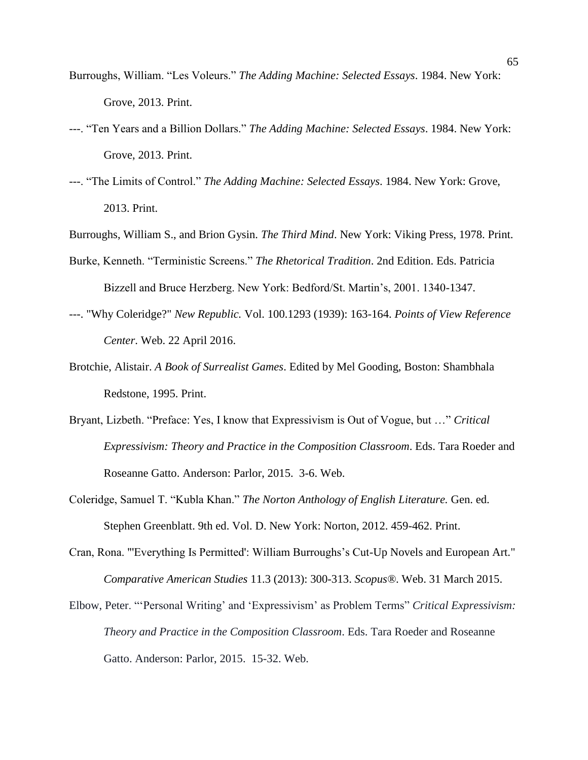- Burroughs, William. "Les Voleurs." *The Adding Machine: Selected Essays*. 1984. New York: Grove, 2013. Print.
- ---. "Ten Years and a Billion Dollars." *The Adding Machine: Selected Essays*. 1984. New York: Grove, 2013. Print.
- ---. "The Limits of Control." *The Adding Machine: Selected Essays*. 1984. New York: Grove, 2013. Print.

Burroughs, William S., and Brion Gysin. *The Third Mind*. New York: Viking Press, 1978. Print.

- Burke, Kenneth. "Terministic Screens." *The Rhetorical Tradition*. 2nd Edition. Eds. Patricia Bizzell and Bruce Herzberg. New York: Bedford/St. Martin's, 2001. 1340-1347.
- ---. "Why Coleridge?" *New Republic.* Vol. 100.1293 (1939): 163-164. *Points of View Reference Center*. Web. 22 April 2016.
- Brotchie, Alistair. *A Book of Surrealist Games*. Edited by Mel Gooding, Boston: Shambhala Redstone, 1995. Print.
- Bryant, Lizbeth. "Preface: Yes, I know that Expressivism is Out of Vogue, but …" *Critical Expressivism: Theory and Practice in the Composition Classroom*. Eds. Tara Roeder and Roseanne Gatto. Anderson: Parlor, 2015. 3-6. Web.
- Coleridge, Samuel T. "Kubla Khan." *The Norton Anthology of English Literature.* Gen. ed. Stephen Greenblatt. 9th ed. Vol. D. New York: Norton, 2012. 459-462. Print.
- Cran, Rona. "'Everything Is Permitted': William Burroughs's Cut-Up Novels and European Art." *Comparative American Studies* 11.3 (2013): 300-313. *Scopus®*. Web. 31 March 2015.
- Elbow, Peter. "'Personal Writing' and 'Expressivism' as Problem Terms" *Critical Expressivism: Theory and Practice in the Composition Classroom*. Eds. Tara Roeder and Roseanne Gatto. Anderson: Parlor, 2015. 15-32. Web.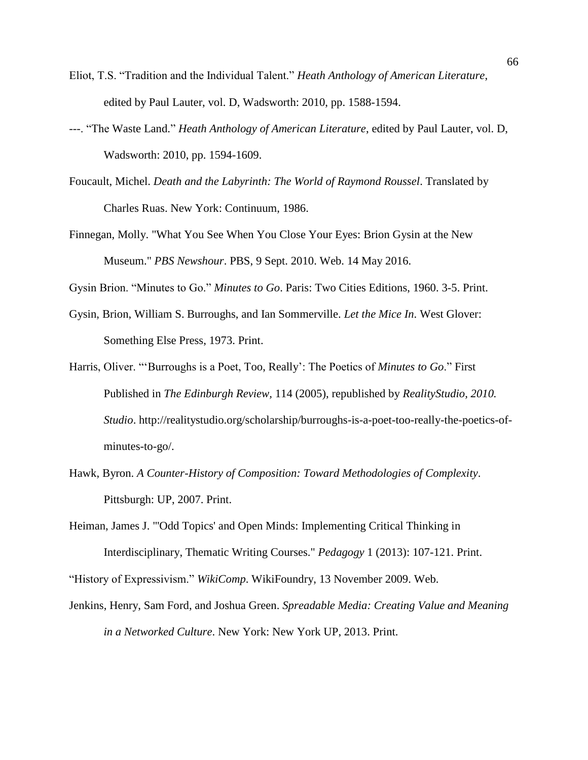- Eliot, T.S. "Tradition and the Individual Talent." *Heath Anthology of American Literature*, edited by Paul Lauter, vol. D, Wadsworth: 2010, pp. 1588-1594.
- ---. "The Waste Land." *Heath Anthology of American Literature*, edited by Paul Lauter, vol. D, Wadsworth: 2010, pp. 1594-1609.
- Foucault, Michel. *Death and the Labyrinth: The World of Raymond Roussel*. Translated by Charles Ruas. New York: Continuum, 1986.
- Finnegan, Molly. "What You See When You Close Your Eyes: Brion Gysin at the New Museum." *PBS Newshour*. PBS, 9 Sept. 2010. Web. 14 May 2016.

Gysin Brion. "Minutes to Go." *Minutes to Go*. Paris: Two Cities Editions, 1960. 3-5. Print.

- Gysin, Brion, William S. Burroughs, and Ian Sommerville. *Let the Mice In*. West Glover: Something Else Press, 1973. Print.
- Harris, Oliver. "'Burroughs is a Poet, Too, Really': The Poetics of *Minutes to Go*." First Published in *The Edinburgh Review,* 114 (2005), republished by *RealityStudio, 2010. Studio*. http://realitystudio.org/scholarship/burroughs-is-a-poet-too-really-the-poetics-ofminutes-to-go/.
- Hawk, Byron. *A Counter-History of Composition: Toward Methodologies of Complexity*. Pittsburgh: UP, 2007. Print.
- Heiman, James J. "'Odd Topics' and Open Minds: Implementing Critical Thinking in Interdisciplinary, Thematic Writing Courses." *Pedagogy* 1 (2013): 107-121. Print.

"History of Expressivism." *WikiComp*. WikiFoundry, 13 November 2009. Web.

Jenkins, Henry, Sam Ford, and Joshua Green. *Spreadable Media: Creating Value and Meaning in a Networked Culture*. New York: New York UP, 2013. Print.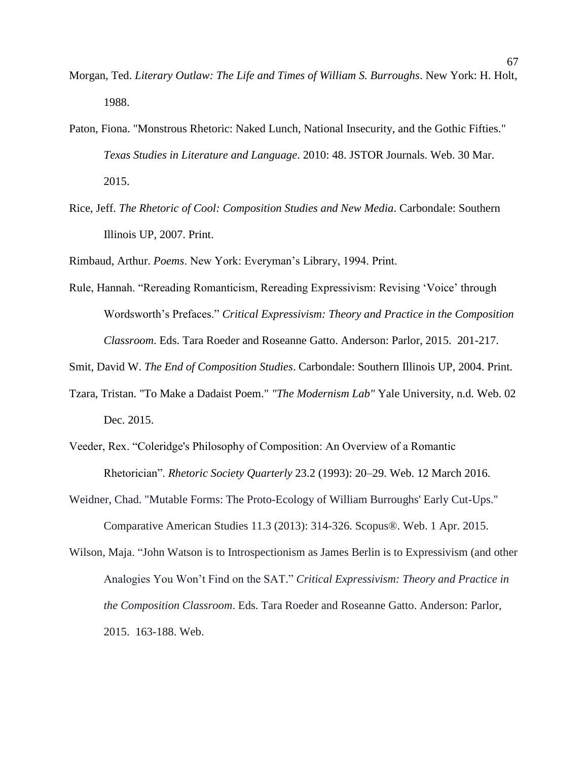- Morgan, Ted. *Literary Outlaw: The Life and Times of William S. Burroughs*. New York: H. Holt, 1988.
- Paton, Fiona. "Monstrous Rhetoric: Naked Lunch, National Insecurity, and the Gothic Fifties." *Texas Studies in Literature and Language*. 2010: 48. JSTOR Journals. Web. 30 Mar. 2015.
- Rice, Jeff. *The Rhetoric of Cool: Composition Studies and New Media*. Carbondale: Southern Illinois UP, 2007. Print.

Rimbaud, Arthur. *Poems*. New York: Everyman's Library, 1994. Print.

Rule, Hannah. "Rereading Romanticism, Rereading Expressivism: Revising 'Voice' through Wordsworth's Prefaces." *Critical Expressivism: Theory and Practice in the Composition Classroom*. Eds. Tara Roeder and Roseanne Gatto. Anderson: Parlor, 2015. 201-217.

Smit, David W. *The End of Composition Studies*. Carbondale: Southern Illinois UP, 2004. Print.

- Tzara, Tristan. "To Make a Dadaist Poem." *"The Modernism Lab"* Yale University, n.d. Web. 02 Dec. 2015.
- Veeder, Rex. "Coleridge's Philosophy of Composition: An Overview of a Romantic Rhetorician". *Rhetoric Society Quarterly* 23.2 (1993): 20–29. Web. 12 March 2016.
- Weidner, Chad. "Mutable Forms: The Proto-Ecology of William Burroughs' Early Cut-Ups." Comparative American Studies 11.3 (2013): 314-326. Scopus®. Web. 1 Apr. 2015.
- Wilson, Maja. "John Watson is to Introspectionism as James Berlin is to Expressivism (and other Analogies You Won't Find on the SAT." *Critical Expressivism: Theory and Practice in the Composition Classroom*. Eds. Tara Roeder and Roseanne Gatto. Anderson: Parlor, 2015. 163-188. Web.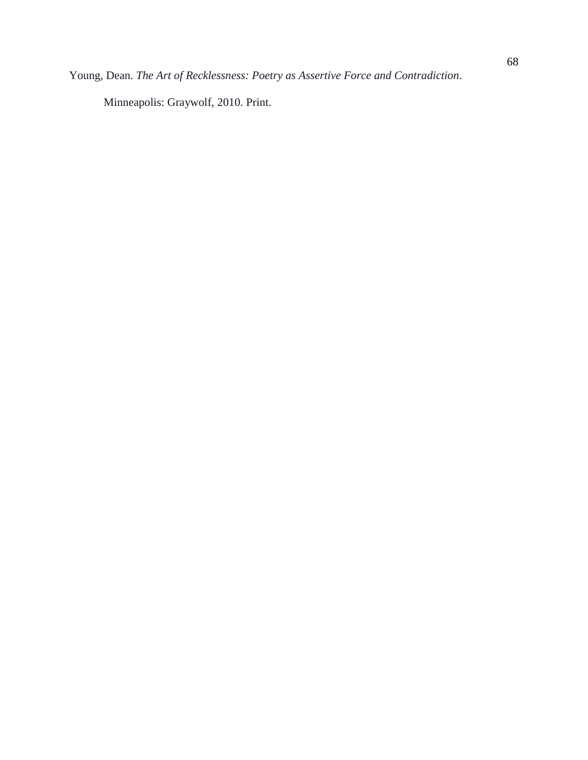Young, Dean. *The Art of Recklessness: Poetry as Assertive Force and Contradiction*.

Minneapolis: Graywolf, 2010. Print.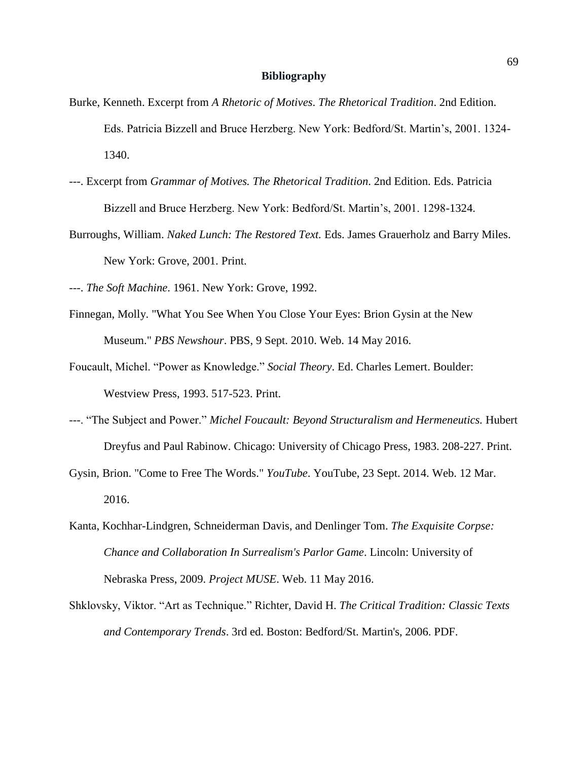- Burke, Kenneth. Excerpt from *A Rhetoric of Motives*. *The Rhetorical Tradition*. 2nd Edition. Eds. Patricia Bizzell and Bruce Herzberg. New York: Bedford/St. Martin's, 2001. 1324- 1340.
- ---. Excerpt from *Grammar of Motives. The Rhetorical Tradition*. 2nd Edition. Eds. Patricia Bizzell and Bruce Herzberg. New York: Bedford/St. Martin's, 2001. 1298-1324.
- Burroughs, William. *Naked Lunch: The Restored Text.* Eds. James Grauerholz and Barry Miles. New York: Grove, 2001. Print.

---. *The Soft Machine*. 1961. New York: Grove, 1992.

- Finnegan, Molly. "What You See When You Close Your Eyes: Brion Gysin at the New Museum." *PBS Newshour*. PBS, 9 Sept. 2010. Web. 14 May 2016.
- Foucault, Michel. "Power as Knowledge." *Social Theory*. Ed. Charles Lemert. Boulder: Westview Press, 1993. 517-523. Print.
- ---. "The Subject and Power." *Michel Foucault: Beyond Structuralism and Hermeneutics.* Hubert Dreyfus and Paul Rabinow. Chicago: University of Chicago Press, 1983. 208-227. Print.
- Gysin, Brion. "Come to Free The Words." *YouTube*. YouTube, 23 Sept. 2014. Web. 12 Mar. 2016.
- Kanta, Kochhar-Lindgren, Schneiderman Davis, and Denlinger Tom. *The Exquisite Corpse: Chance and Collaboration In Surrealism's Parlor Game*. Lincoln: University of Nebraska Press, 2009. *Project MUSE*. Web. 11 May 2016.
- Shklovsky, Viktor. "Art as Technique." Richter, David H. *The Critical Tradition: Classic Texts and Contemporary Trends*. 3rd ed. Boston: Bedford/St. Martin's, 2006. PDF.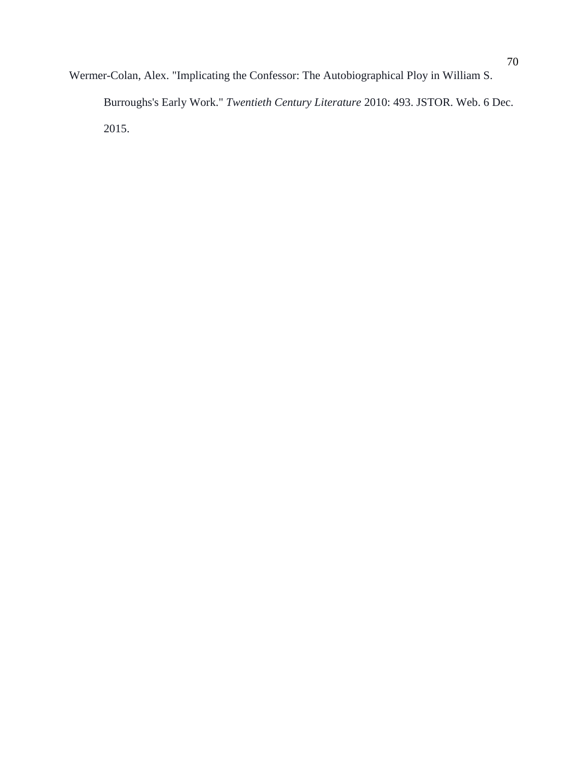Wermer-Colan, Alex. "Implicating the Confessor: The Autobiographical Ploy in William S. Burroughs's Early Work." *Twentieth Century Literature* 2010: 493. JSTOR. Web. 6 Dec. 2015.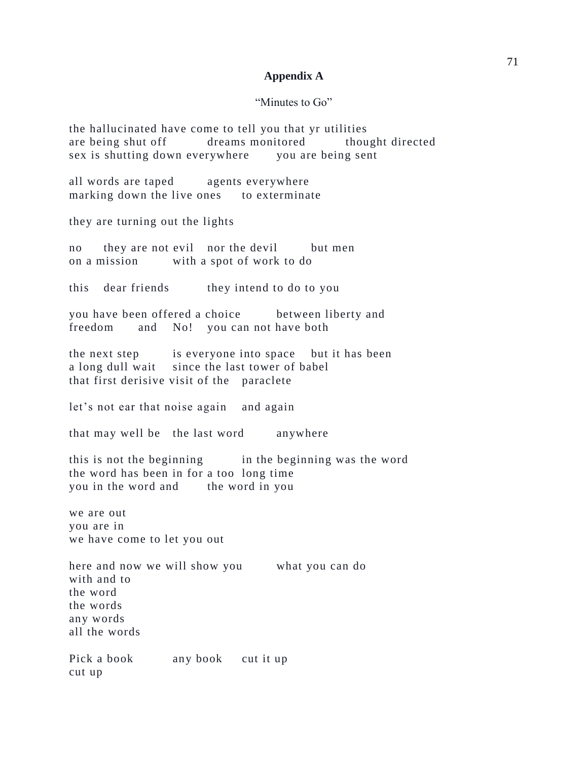# **Appendix A**

# "Minutes to Go"

the hallucinated have come to tell you that yr utilities are being shut off dreams monitored thought directed sex is shutting down everywhere you are being sent

all words are taped agents everywhere marking down the live ones to exterminate

they are turning out the lights

no they are not evil nor the devil but men on a mission with a spot of work to do

this dear friends they intend to do to you

you have been offered a choice between liberty and freedom and No! you can not have both

the next step is everyone into space but it has been a long dull wait since the last tower of babel that first derisive visit of the paraclete

let's not ear that noise again and again

that may well be the last word anywhere

this is not the beginning in the beginning was the word the word has been in for a too long time you in the word and the word in you

we are out you are in we have come to let you out

here and now we will show you what you can do with and to the word the words any words all the words

Pick a book any book cut it up cut up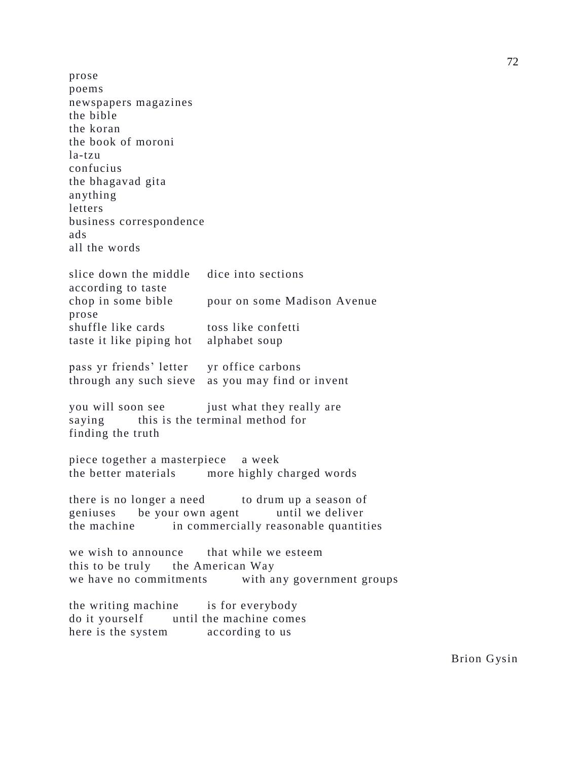prose poems newspapers magazines the bible the koran the book of moroni la-tzu confucius the bhagavad gita anything **letters** business correspondence ads all the words slice down the middle dice into sections according to taste chop in some bible pour on some Madison Avenue prose shuffle like cards toss like confetti taste it like piping hot alphabet soup pass yr friends' letter yr office carbons through any such sieve as you may find or invent you will soon see just what they really are saying this is the terminal method for finding the truth piece together a masterpiece a week the better materials more highly charged words there is no longer a need to drum up a season of geniuses be your own agent until we deliver the machine in commercially reasonable quantities we wish to announce that while we esteem this to be truly the American Way we have no commitments with any government groups the writing machine is for everybody do it yourself until the machine comes here is the system according to us

72